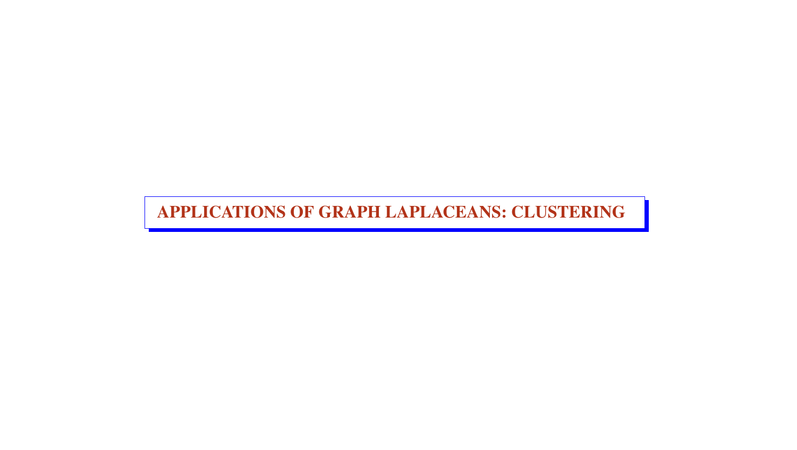APPLICATIONS OF GRAPH LAPLACEANS: CLUSTERING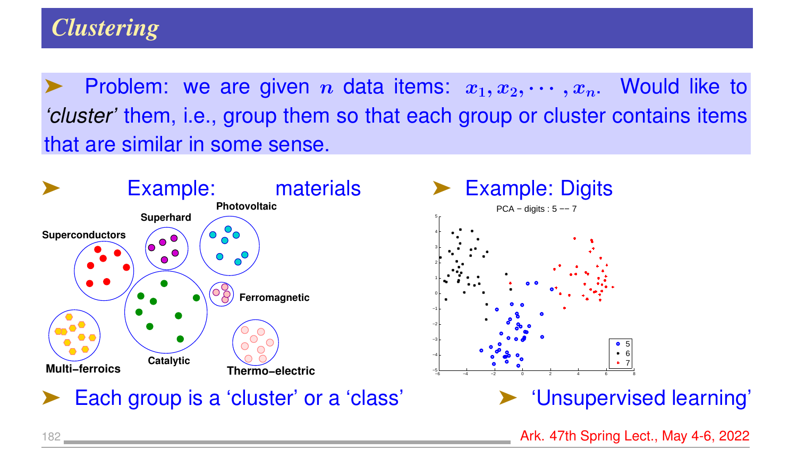Problem: we are given *n* data items:  $x_1, x_2, \cdots, x_n$ . Would like to *'cluster'* them, i.e., group them so that each group or cluster contains items that are similar in some sense.



182 **Ark. 47th Spring Lect., May 4-6, 2022**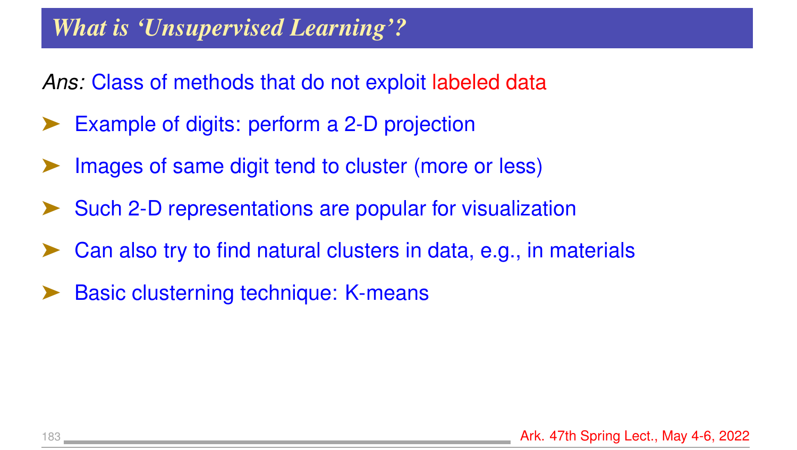### *What is 'Unsupervised Learning'?*

*Ans:* Class of methods that do not exploit labeled data

- Example of digits: perform a 2-D projection
- Images of same digit tend to cluster (more or less)
- Such 2-D representations are popular for visualization
- Can also try to find natural clusters in data, e.g., in materials
- Basic clusterning technique: K-means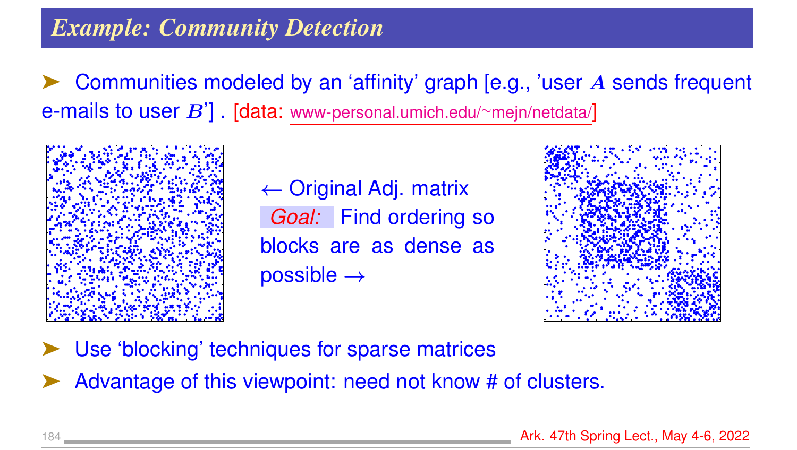### *Example: Community Detection*

Communities modeled by an 'affinity' graph [e.g., 'user A sends frequent e-mails to user B']. [data: [www-personal.umich.edu/](www-personal.umich.edu/~mejn/netdata/)~mejn/netdata/]



 $\leftarrow$  Original Adj. matrix *Goal:* Find ordering so blocks are as dense as possible →



- Use 'blocking' techniques for sparse matrices
- Advantage of this viewpoint: need not know # of clusters.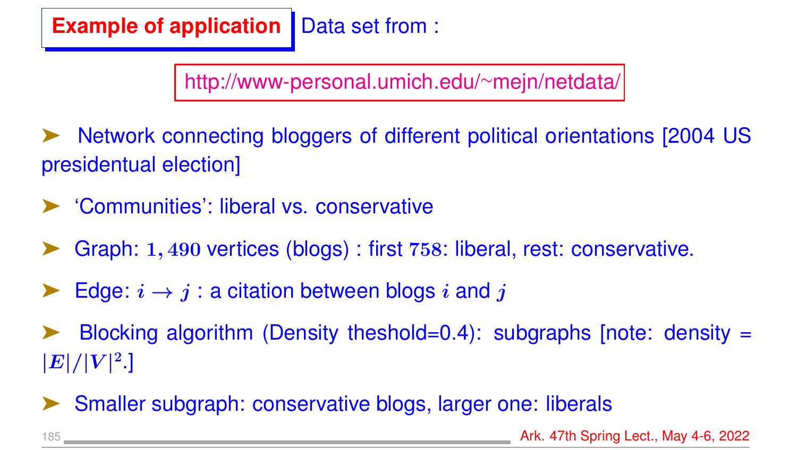## **Example of application** Data set from :

[http://www-personal.umich.edu/](http://www-personal.umich.edu/~mejn/netdata/)∼mejn/netdata/

➤ Network connecting bloggers of different political orientations [2004 US presidentual election]

- ➤ 'Communities': liberal vs. conservative
- Graph: 1, 490 vertices (blogs) : first 758: liberal, rest: conservative.
- Edge:  $i \rightarrow j$ : a citation between blogs i and j
- Blocking algorithm (Density theshold=0.4): subgraphs [note: density =  $|E|/|V|^2.]$
- Smaller subgraph: conservative blogs, larger one: liberals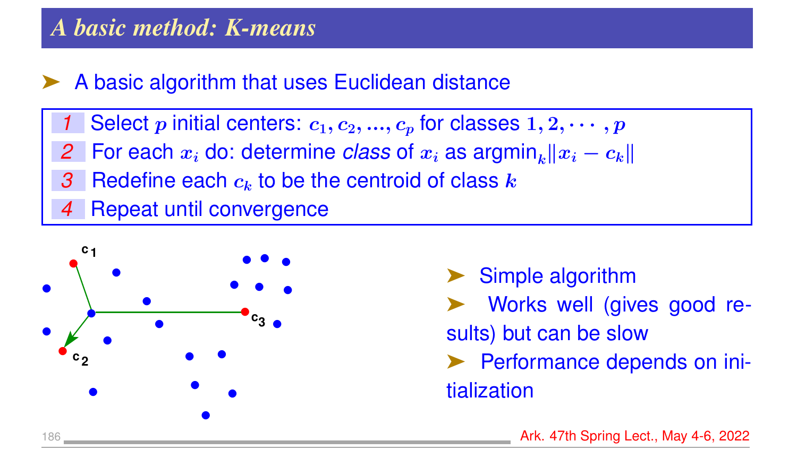#### *A basic method: K-means*

#### ➤ A basic algorithm that uses Euclidean distance

- Select p initial centers:  $c_1, c_2, ..., c_p$  for classes  $1, 2, ..., p$
- *2* For each  $x_i$  do: determine *class* of  $x_i$  as  $\arg\min_k ||x_i c_k||$
- 3 Redefine each  $c_k$  to be the centroid of class  $k$
- **Repeat until convergence**



▶ Simple algorithm ➤ Works well (gives good results) but can be slow ▶ Performance depends on initialization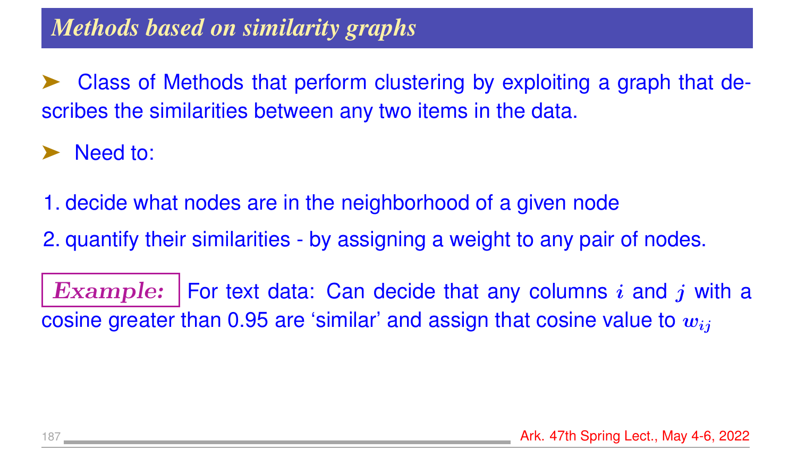➤ Class of Methods that perform clustering by exploiting a graph that describes the similarities between any two items in the data.

➤ Need to:

1. decide what nodes are in the neighborhood of a given node

2. quantify their similarities - by assigning a weight to any pair of nodes.

**Example:** | For text data: Can decide that any columns  $i$  and  $j$  with a cosine greater than 0.95 are 'similar' and assign that cosine value to  $w_{ij}$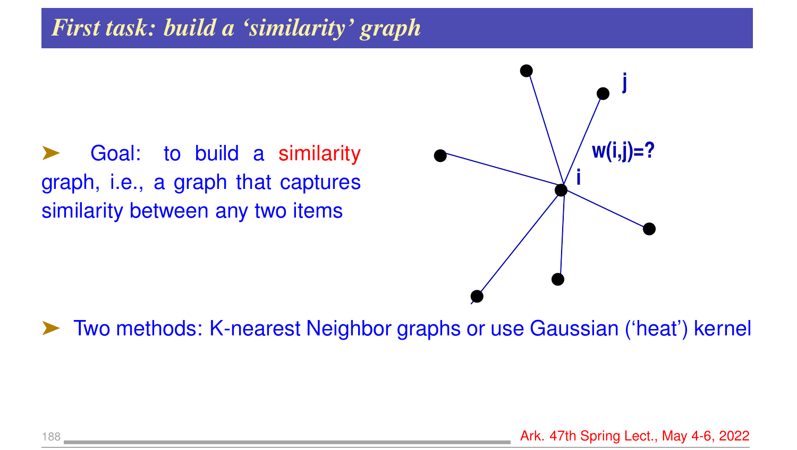#### *First task: build a 'similarity' graph*

Goal: to build a similarity graph, i.e., a graph that captures similarity between any two items



➤ Two methods: K-nearest Neighbor graphs or use Gaussian ('heat') kernel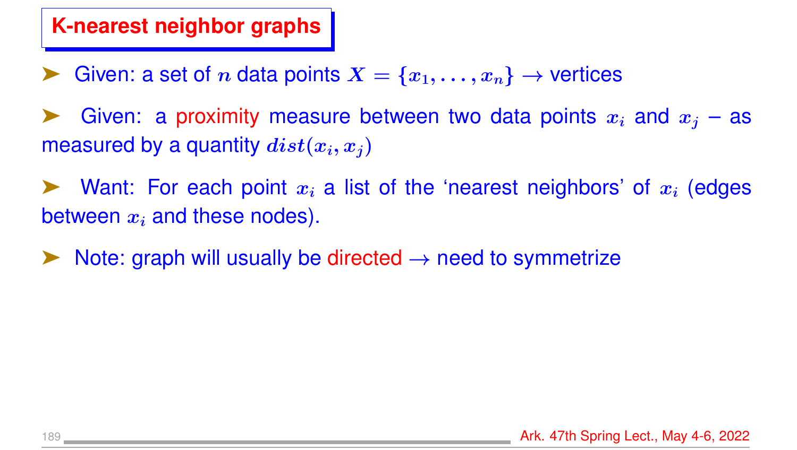#### **K-nearest neighbor graphs**

- Given: a set of n data points  $X = \{x_1, \ldots, x_n\} \rightarrow$  vertices
- Given: a proximity measure between two data points  $x_i$  and  $x_j$  as measured by a quantity  $dist(x_i, x_j)$
- Want: For each point  $x_i$  a list of the 'nearest neighbors' of  $x_i$  (edges between  $x_i$  and these nodes).
- Note: graph will usually be directed  $\rightarrow$  need to symmetrize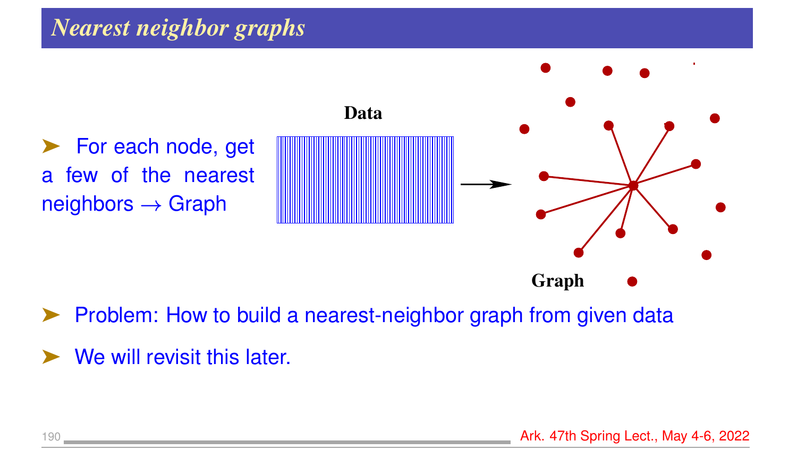### *Nearest neighbor graphs*



➤ Problem: How to build a nearest-neighbor graph from given data

We will revisit this later.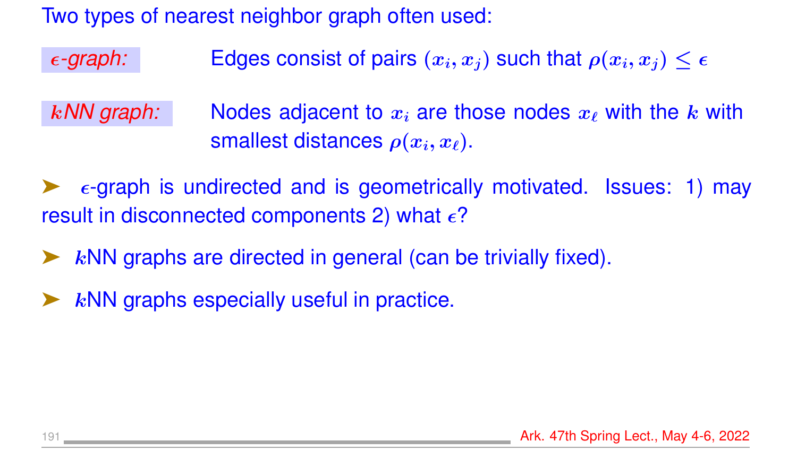Two types of nearest neighbor graph often used:

 $\epsilon$ *-graph:* Edges consist of pairs  $(x_i, x_j)$  such that  $\rho(x_i, x_j) \leq \epsilon$ 

k/W graph: Nodes adjacent to  $x_i$  are those nodes  $x_\ell$  with the k with smallest distances  $\rho(x_i, x_\ell)$ .

 $\epsilon$ -graph is undirected and is geometrically motivated. Issues: 1) may result in disconnected components 2) what  $\epsilon$ ?

- $k$ NN graphs are directed in general (can be trivially fixed).
- $k$ NN graphs especially useful in practice.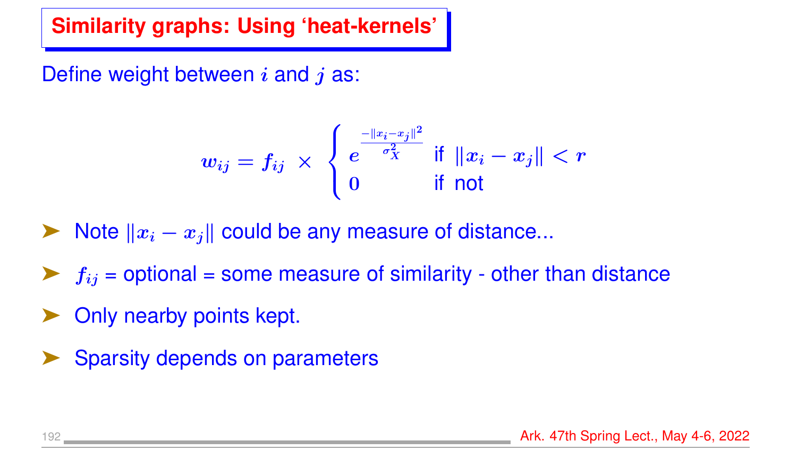### **Similarity graphs: Using 'heat-kernels'**

Define weight between  $i$  and  $j$  as:

$$
w_{ij}=f_{ij}\; \times \; \left\{\begin{matrix} e^{\frac{-\|x_i-x_j\|^2}{\sigma_X^2}} \; \text{if} \; \|x_i-x_j\|< r \\ 0 \qquad \quad \text{if not} \end{matrix}\right.
$$

 $\triangleright$  Note  $||x_i - x_j||$  could be any measure of distance...

- $f_{ij}$  = optional = some measure of similarity other than distance
- Only nearby points kept.
- Sparsity depends on parameters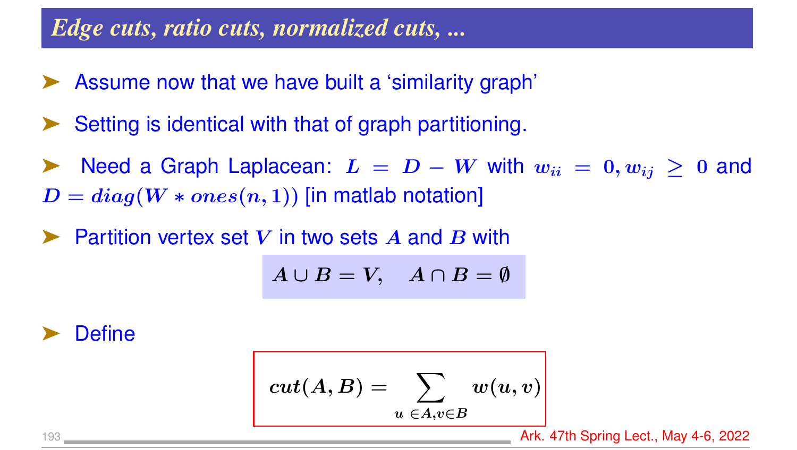#### *Edge cuts, ratio cuts, normalized cuts, ...*

- Assume now that we have built a 'similarity graph'
- Setting is identical with that of graph partitioning.
- Need a Graph Laplacean:  $L = D W$  with  $w_{ii} = 0, w_{ii} \ge 0$  and  $D = diag(W * ones(n, 1))$  [in matlab notation]
- Partition vertex set V in two sets A and B with

$$
A\cup B=V,\quad A\cap B=\emptyset
$$

Define

$$
cut(A,B)=\sum_{u\ \in A, v\in B}w(u,v)
$$

193 **Ark. 47th Spring Lect., May 4-6, 2022**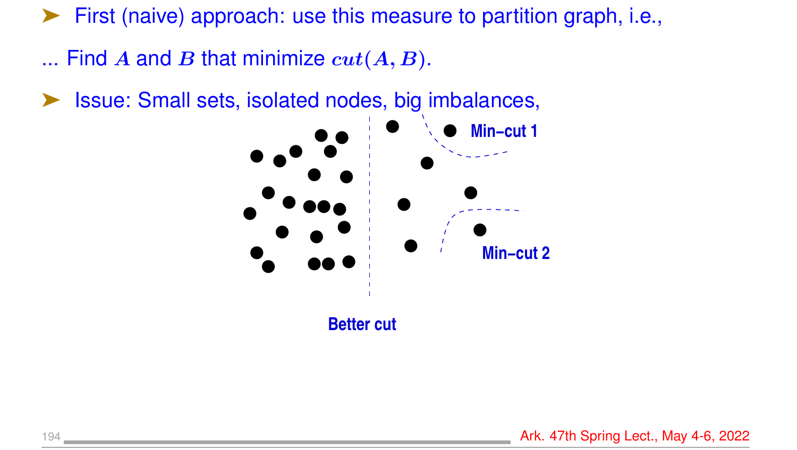➤ First (naive) approach: use this measure to partition graph, i.e.,

- ... Find A and B that minimize  $cut(A, B)$ .
- ➤ Issue: Small sets, isolated nodes, big imbalances,

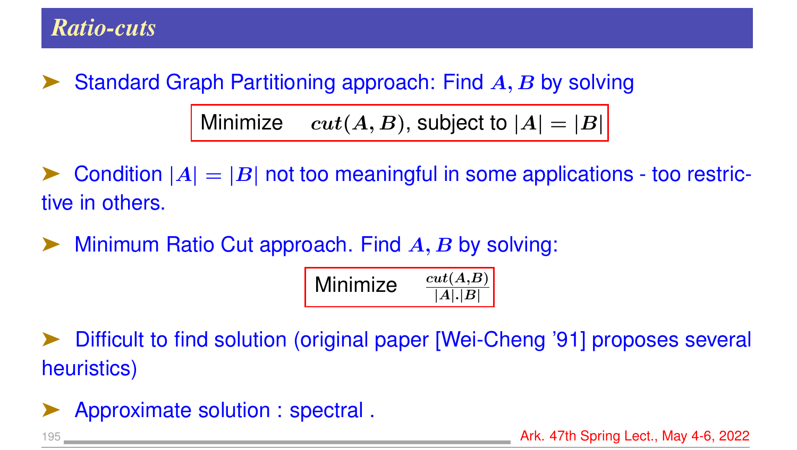Standard Graph Partitioning approach: Find A, B by solving Minimize  $cut(A, B)$ , subject to  $|A| = |B|$ 

Condition  $|A| = |B|$  not too meaningful in some applications - too restrictive in others.

 $\blacktriangleright$  Minimum Ratio Cut approach. Find  $A, B$  by solving:

| Minimize | cut(A,B) |
|----------|----------|
|          | A . B    |

Difficult to find solution (original paper [Wei-Cheng '91] proposes several heuristics)

Approximate solution : spectral.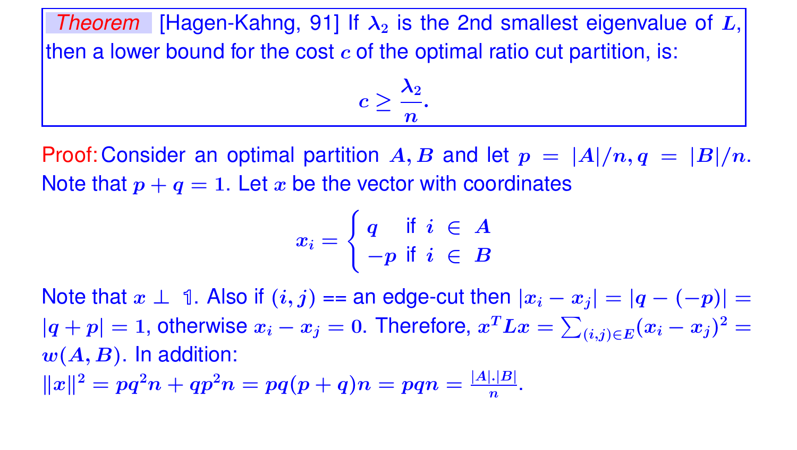*Theorem* [Hagen-Kahng, 91] If  $\lambda_2$  is the 2nd smallest eigenvalue of L, then a lower bound for the cost  $c$  of the optimal ratio cut partition, is:

$$
c\geq \frac{\lambda_2}{n}.
$$

Proof: Consider an optimal partition  $A, B$  and let  $p = |A|/n, q = |B|/n$ . Note that  $p + q = 1$ . Let x be the vector with coordinates

$$
x_i = \left\{ \begin{matrix} q & \text{if} \enspace i \in A \\ -p & \text{if} \enspace i \in B \end{matrix} \right.
$$

Note that  $x \perp 1$ . Also if  $(i, j) ==$  an edge-cut then  $|x_i - x_j| = |q - (-p)| =$  $|q+p|=1$ , otherwise  $x_i-x_j=0$ . Therefore,  $x^TLx=\sum_{(i,j)\in E} (x_i-x_j)^2=0$  $w(A, B)$ . In addition:  $||x||^2 = pq^2n + qp^2n = pq(p+q)n = pqn = \frac{|A|.|B|}{n}$  $\frac{|.|B|}{n}$ .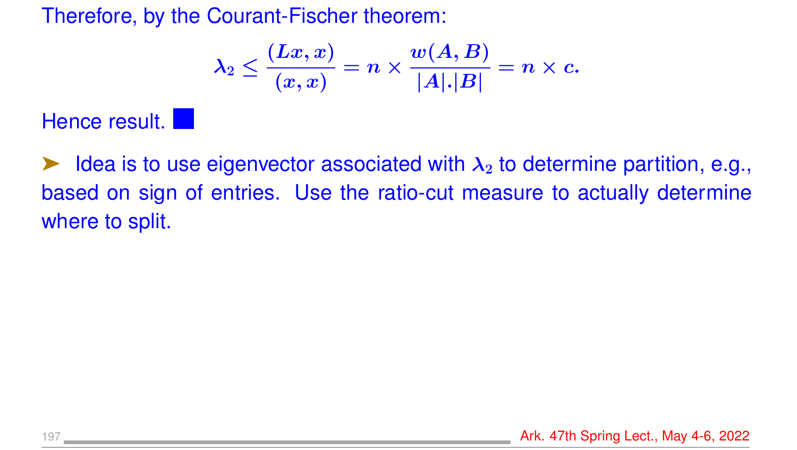Therefore, by the Courant-Fischer theorem:

$$
\lambda_2\leq \frac{(Lx,x)}{(x,x)}=n\times \frac{w(A,B)}{|A|.|B|}=n\times c.
$$

#### Hence result.

 $\blacktriangleright$  Idea is to use eigenvector associated with  $\lambda_2$  to determine partition, e.g., based on sign of entries. Use the ratio-cut measure to actually determine where to split.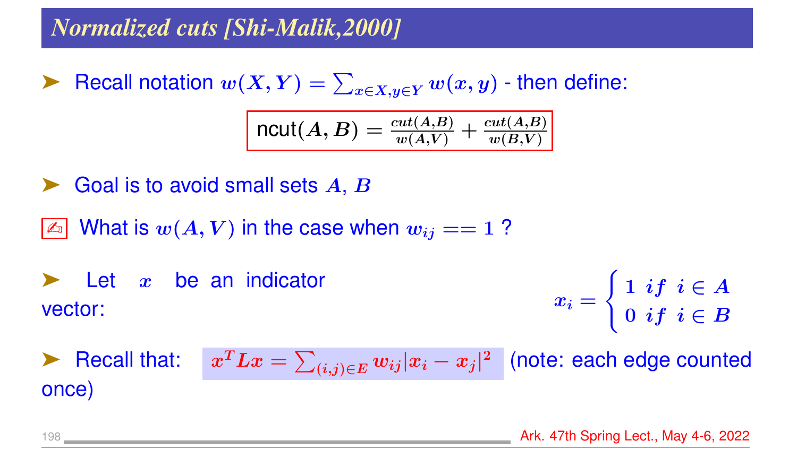### *Normalized cuts [Shi-Malik,2000]*

► Recall notation  $w(X, Y) = \sum_{x \in X, y \in Y} w(x, y)$  - then define:

$$
\texttt{ncut}(A,B) = \frac{cut(A,B)}{w(A,V)} + \frac{cut(A,B)}{w(B,V)}
$$

- Goal is to avoid small sets  $A, B$
- $\boxed{\mathbb{Z}^n}$  What is  $w(A, V)$  in the case when  $w_{ij} == 1$  ?

 $\blacktriangleright$  Let  $x$  be an indicator vector:  $x_i =$  $\int 1 \; if \; i \in A$  $0\,\,if\,\,i\in B$ 

**Recall that:**  ${}^T L x = \sum_{(i,j) \in E} w_{ij} |x_i - x_j |^2 \ \ \ \vert$  (note: each edge counted once)

198 **Ark. 47th Spring Lect., May 4-6, 2022**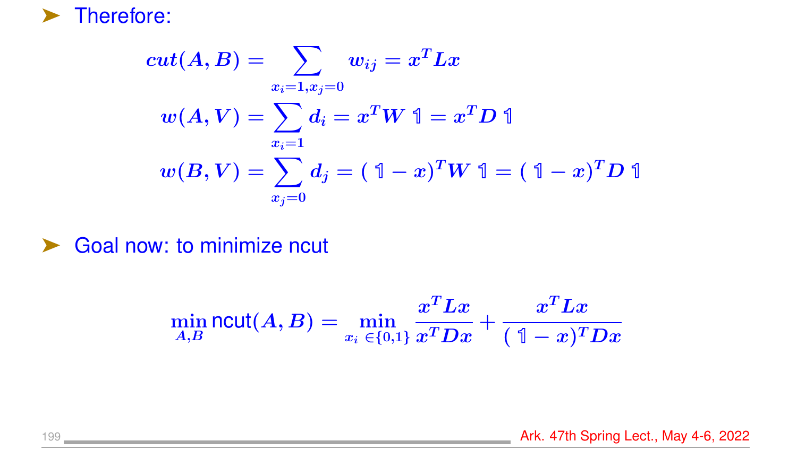

$$
cut(A,B)=\sum_{\begin{array}{l} x_i=1,x_j=0\\ \\ w(A,V)=\sum_{x_i=1}^xd_i=x^TW\ \mathbb{1}=x^TD\ \mathbb{1}\\ \\ w(B,V)=\sum_{x_j=0}^xd_j=(\ \mathbb{1}-x)^TW\ \mathbb{1}=(\ \mathbb{1}-x)^TD\ \mathbb{1}\end{array}
$$

▶ Goal now: to minimize ncut

$$
\min_{A,B} \mathsf{ncut}(A,B) = \min_{x_i \, \in \{0,1\}} \frac{x^T L x}{x^T D x} + \frac{x^T L x}{(\; \mathbb{1} - x)^T D x}
$$

199 Ark. 47th Spring Lect., May 4-6, 2022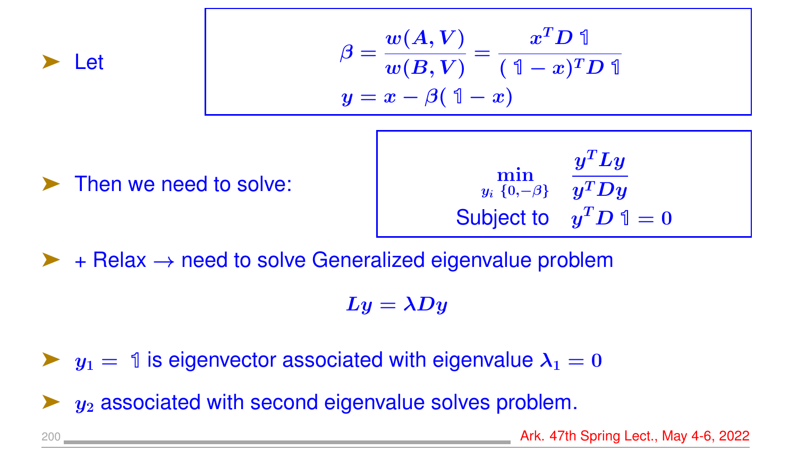

$$
\beta = \frac{w(A, V)}{w(B, V)} = \frac{x^T D \mathbb{1}}{(\mathbb{1} - x)^T D \mathbb{1}}
$$

$$
y = x - \beta(\mathbb{1} - x)
$$

Then we need to solve:

 $y_i\,\left\{0, \!-\beta\right\}$  $\bm{y^T} \bm{L} \bm{y}$  $\bm{y^T}\bm{D}\bm{y}$ Subject to  $y^T D$  1 = 0

 $\triangleright$  + Relax  $\rightarrow$  need to solve Generalized eigenvalue problem

 $Ly = \lambda Dy$ 

 $\blacktriangleright$   $y_1 = 1$  is eigenvector associated with eigenvalue  $\lambda_1 = 0$ 

 $y_2$  associated with second eigenvalue solves problem.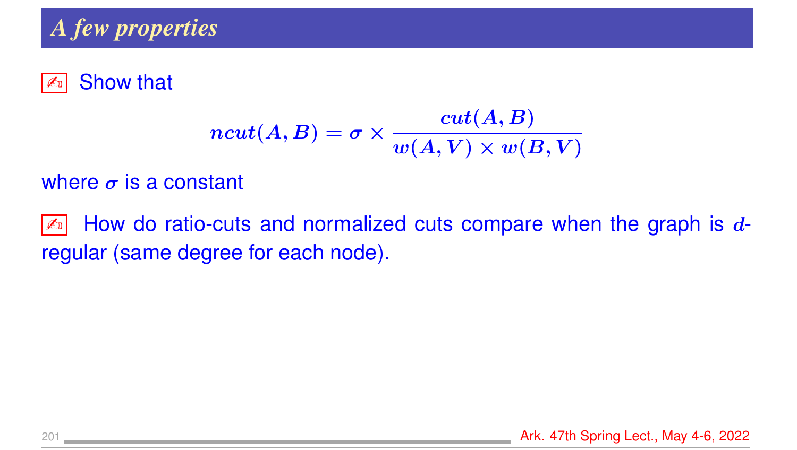### *A few properties*

#### **Exi** Show that

$$
ncut(A,B) = \sigma \times \frac{cut(A,B)}{w(A,V) \times w(B,V)}
$$

#### where  $\sigma$  is a constant

 $\boxed{\mathbb{Z}^n}$  How do ratio-cuts and normalized cuts compare when the graph is  $d$ regular (same degree for each node).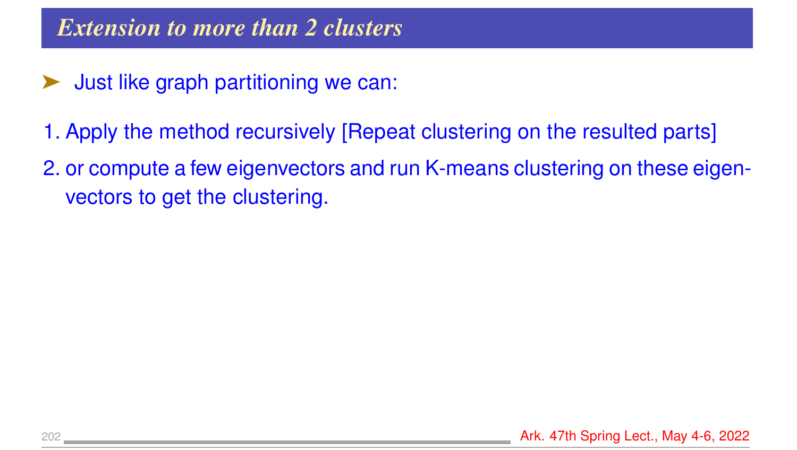- ➤ Just like graph partitioning we can:
- 1. Apply the method recursively [Repeat clustering on the resulted parts]
- 2. or compute a few eigenvectors and run K-means clustering on these eigenvectors to get the clustering.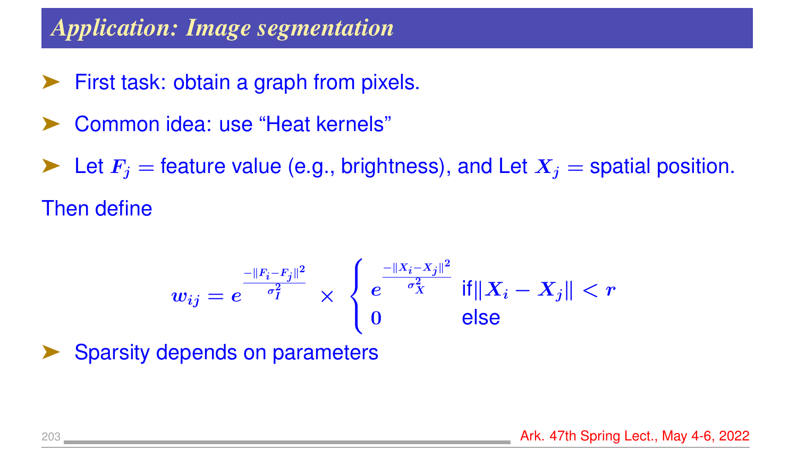### *Application: Image segmentation*

- ➤ First task: obtain a graph from pixels.
- ➤ Common idea: use "Heat kernels"

Let  $F_i$  = feature value (e.g., brightness), and Let  $X_i$  = spatial position. Then define

$$
w_{ij}=e^{\frac{-\|F_i-F_j\|^2}{\sigma_I^2}}\times\begin{cases} e^{\frac{-\|X_i-X_j\|^2}{\sigma_X^2}}\|\mathsf{f}\|X_i-X_j\|< r\\ 0\qquad \qquad \text{else}\end{cases}
$$

Sparsity depends on parameters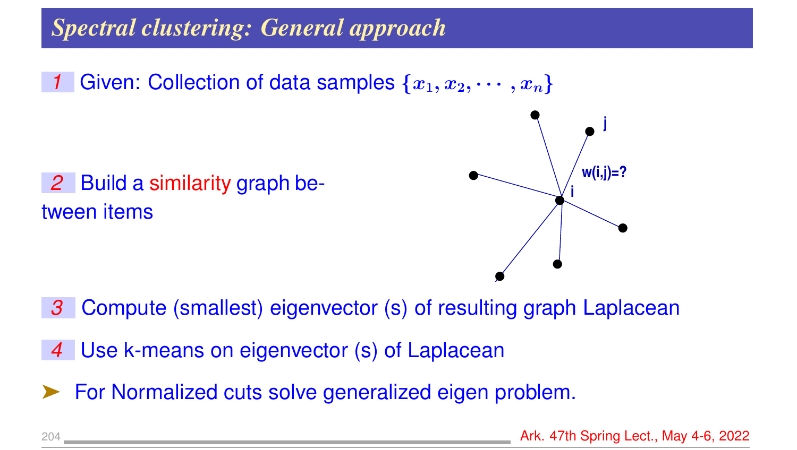# *Spectral clustering: General approach*

*1* Given: Collection of data samples  $\{x_1, x_2, \cdots, x_n\}$ 

*2* Build a similarity graph between items



- *3* Compute (smallest) eigenvector (s) of resulting graph Laplacean
- *4* Use k-means on eigenvector (s) of Laplacean
- ➤ For Normalized cuts solve generalized eigen problem.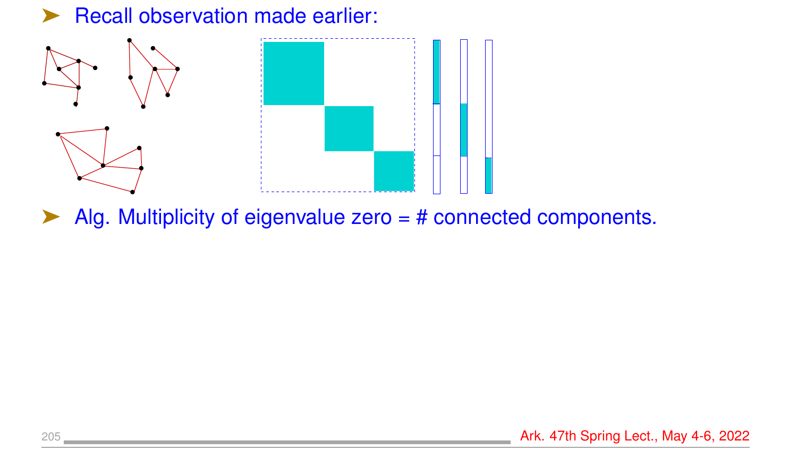#### ▶ Recall observation made earlier:



 $\blacktriangleright$  Alg. Multiplicity of eigenvalue zero = # connected components.

205 **Ark. 47th Spring Lect., May 4-6, 2022**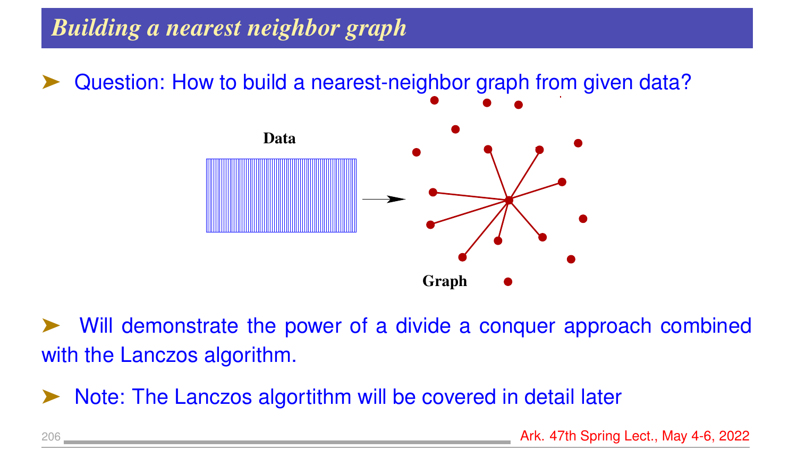# *Building a nearest neighbor graph*

Question: How to build a nearest-neighbor graph from given data?



Will demonstrate the power of a divide a conquer approach combined with the Lanczos algorithm.

Note: The Lanczos algortithm will be covered in detail later

206 **Ark. 47th Spring Lect., May 4-6, 2022**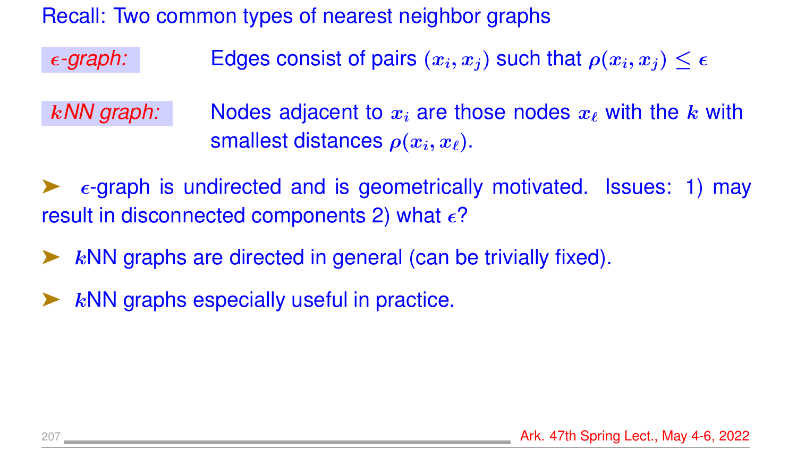Recall: Two common types of nearest neighbor graphs

 $\epsilon$ *-graph:* Edges consist of pairs  $(x_i, x_j)$  such that  $\rho(x_i, x_j) \leq \epsilon$ 

k/W graph: Nodes adjacent to  $x_i$  are those nodes  $x_\ell$  with the k with smallest distances  $\rho(x_i, x_\ell)$ .

 $\epsilon$ -graph is undirected and is geometrically motivated. Issues: 1) may result in disconnected components 2) what  $\epsilon$ ?

- $k$ NN graphs are directed in general (can be trivially fixed).
- $k$ NN graphs especially useful in practice.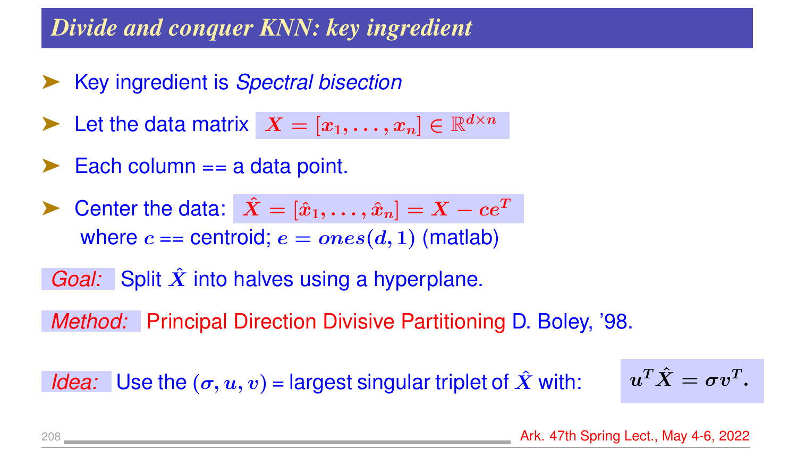## *Divide and conquer KNN: key ingredient*

- ➤ Key ingredient is *Spectral bisection*
- Let the data matrix  $X = [x_1, \ldots, x_n] \in \mathbb{R}^{d \times n}$
- $\blacktriangleright$  Each column == a data point.
- Center the data:  $\hat{X} = [\hat{x}_1, \dots, \hat{x}_n] = X ce^T$ where  $c ==$  centroid;  $e = ones(d, 1)$  (matlab)
- *Goal:* Split  $\hat{X}$  into halves using a hyperplane.

*Method:* Principal Direction Divisive Partitioning D. Boley, '98.

*Idea:* Use the  $(\sigma, u, v)$  = largest singular triplet of  $\hat{X}$  with:

$$
u^T \hat{X} = \sigma v^T.
$$

208 Ark. 47th Spring Lect., May 4-6, 2022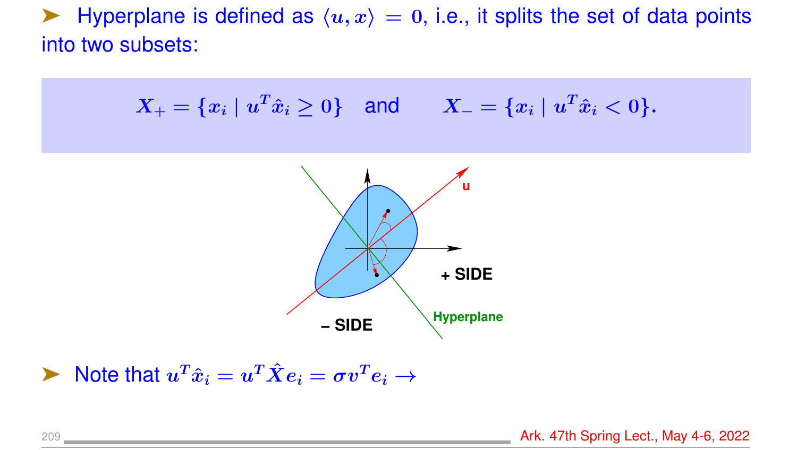$\blacktriangleright$  Hyperplane is defined as  $\langle u, x \rangle = 0$ , i.e., it splits the set of data points into two subsets:

$$
X_+ = \{x_i \mid u^T \hat{x}_i \ge 0\} \quad \text{and} \quad X_- = \{x_i \mid u^T \hat{x}_i < 0\}.
$$



$$
\blacktriangleright \text{ Note that } u^T \hat{x}_i = u^T \hat{X} e_i = \sigma v^T e_i \rightarrow
$$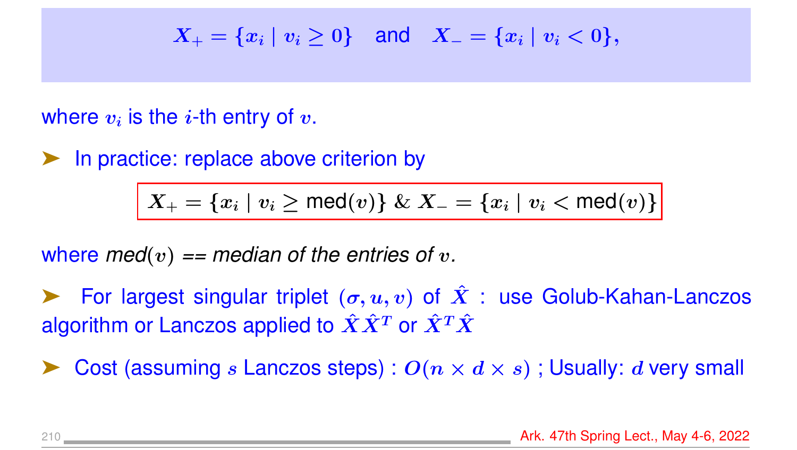$$
X_+ = \{x_i \mid v_i \ge 0\} \quad \text{and} \quad X_- = \{x_i \mid v_i < 0\},
$$

#### where  $v_i$  is the  $i\text{-}\mathsf{th}$  entry of  $v.$

▶ In practice: replace above criterion by

$$
\big| \ X_+ = \{x_i \mid v_i \ge \mathsf{med}(v)\} \ \& \ X_- = \{x_i \mid v_i < \mathsf{med}(v)\}
$$

where  $med(v) == median$  of the entries of v.

For largest singular triplet  $(\sigma, u, v)$  of  $\hat{X}$  : use Golub-Kahan-Lanczos algorithm or Lanczos applied to  $\hat{X}\hat{X}^T$  or  $\hat{X}^T\hat{X}$ 

Cost (assuming s Lanczos steps) :  $O(n \times d \times s)$ ; Usually: d very small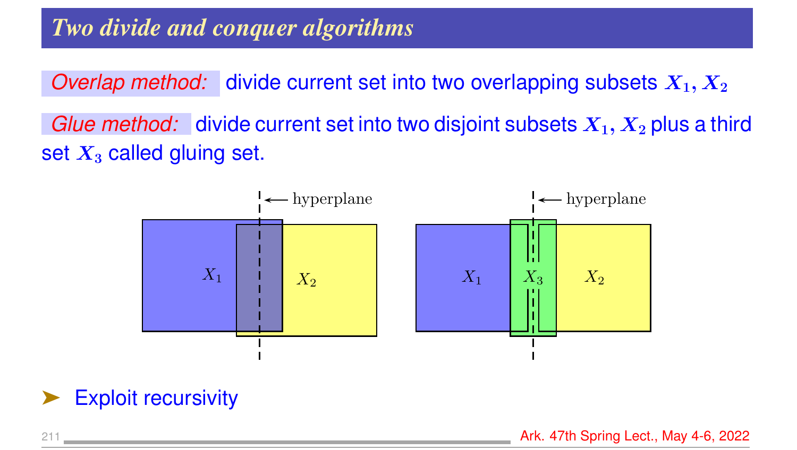*Overlap method:* divide current set into two overlapping subsets  $X_1, X_2$ *Glue method:* divide current set into two disjoint subsets  $X_1, X_2$  plus a third set  $X_3$  called gluing set.



Exploit recursivity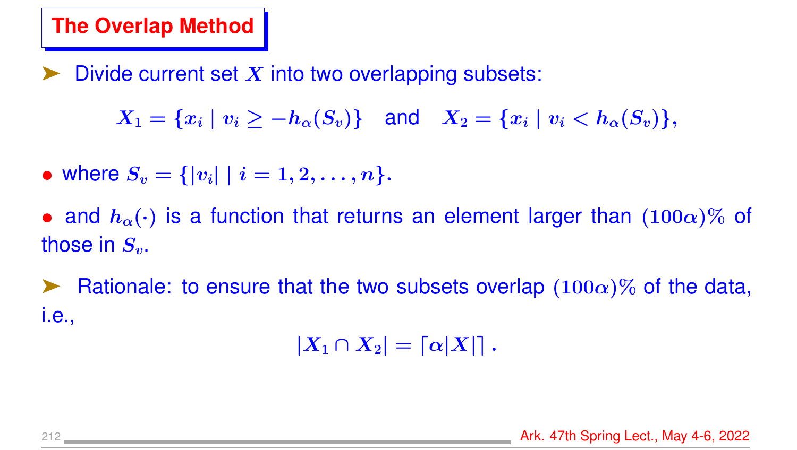## **The Overlap Method**

Divide current set  $X$  into two overlapping subsets:

 $X_1 = \{x_i \mid v_i > -h_\alpha(S_v)\}\$  and  $X_2 = \{x_i \mid v_i < h_\alpha(S_v)\}\,$ 

• where  $S_v = \{ |v_i| \mid i = 1, 2, \ldots, n \}.$ 

• and  $h_{\alpha}(\cdot)$  is a function that returns an element larger than  $(100\alpha)\%$  of those in  $S_v$ .

Exampled Rationale: to ensure that the two subsets overlap  $(100\alpha)\%$  of the data, i.e.,

 $|X_1 \cap X_2| = \lceil \alpha |X| \rceil$ .

212 Ark. 47th Spring Lect., May 4-6, 2022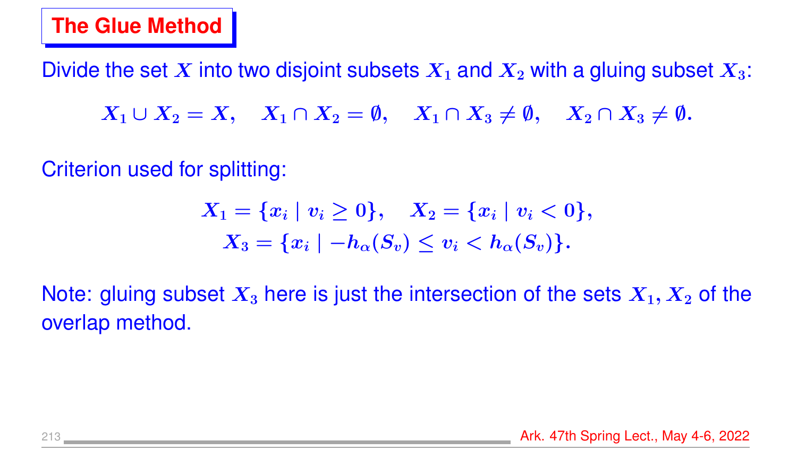#### **The Glue Method**

Divide the set X into two disjoint subsets  $X_1$  and  $X_2$  with a gluing subset  $X_3$ :

 $X_1 \cup X_2 = X$ ,  $X_1 \cap X_2 = \emptyset$ ,  $X_1 \cap X_3 \neq \emptyset$ ,  $X_2 \cap X_3 \neq \emptyset$ .

Criterion used for splitting:

$$
X_1=\{x_i\mid v_i\geq 0\},\quad X_2=\{x_i\mid v_i<0\},\\ X_3=\{x_i\mid -h_{\alpha}(S_v)\leq v_i
$$

Note: gluing subset  $X_3$  here is just the intersection of the sets  $X_1, X_2$  of the overlap method.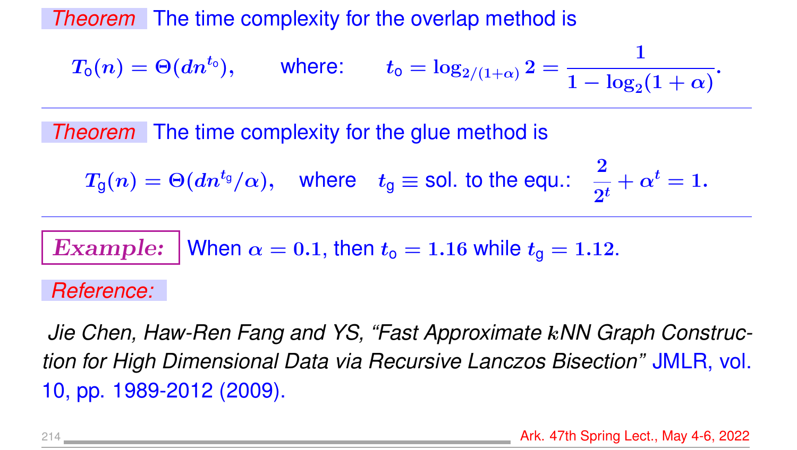*Theorem* The time complexity for the overlap method is

$$
T_{\mathsf{o}}(n) = \Theta(d n^{t_{\mathsf{o}}}), \qquad \text{where:} \qquad t_{\mathsf{o}} = \log_{2/(1+\alpha)} 2 = \frac{1}{1 - \log_2(1+\alpha)}.
$$

*Theorem* The time complexity for the glue method is

$$
T_{g}(n)=\Theta(dn^{t_{g}}/\alpha), \quad \text{where} \quad t_{g}\equiv \text{sol.~to~the~equ.:} \quad \frac{2}{2^{t}}+\alpha^{t}=1.
$$

**Example:** When 
$$
\alpha = 0.1
$$
, then  $t_0 = 1.16$  while  $t_0 = 1.12$ .

#### *Reference:*

*Jie Chen, Haw-Ren Fang and YS, "Fast Approximate* k*NN Graph Construction for High Dimensional Data via Recursive Lanczos Bisection"* JMLR, vol. 10, pp. 1989-2012 (2009).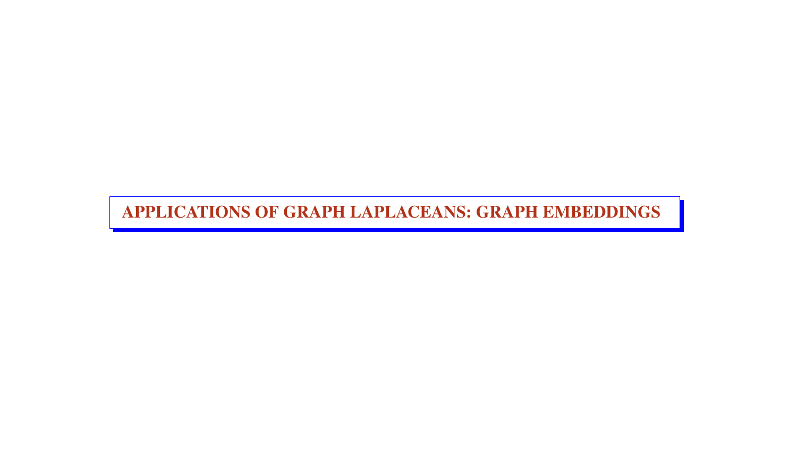APPLICATIONS OF GRAPH LAPLACEANS: GRAPH EMBEDDINGS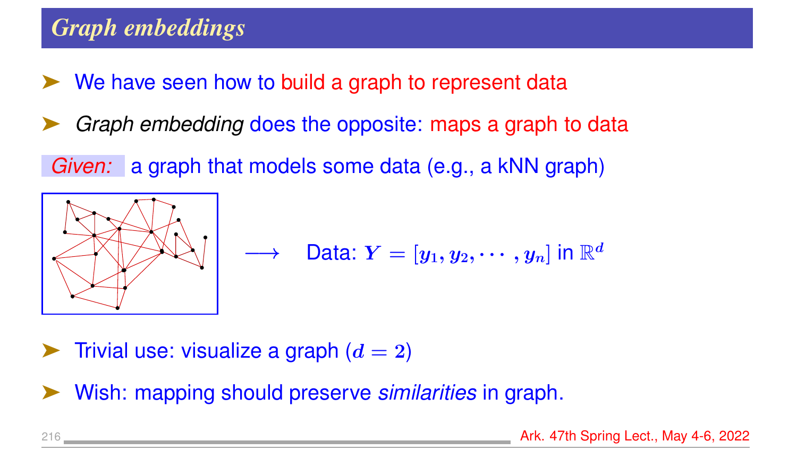# *Graph embeddings*

- We have seen how to build a graph to represent data
- Graph embedding does the opposite: maps a graph to data

*Given:* a graph that models some data (e.g., a kNN graph)



$$
\longrightarrow \quad \mathsf{Data}\colon Y=[y_1,y_2,\cdots,y_n] \text{ in } \mathbb{R}^d
$$

 $\triangleright$  Trivial use: visualize a graph  $(d = 2)$ 

➤ Wish: mapping should preserve *similarities* in graph.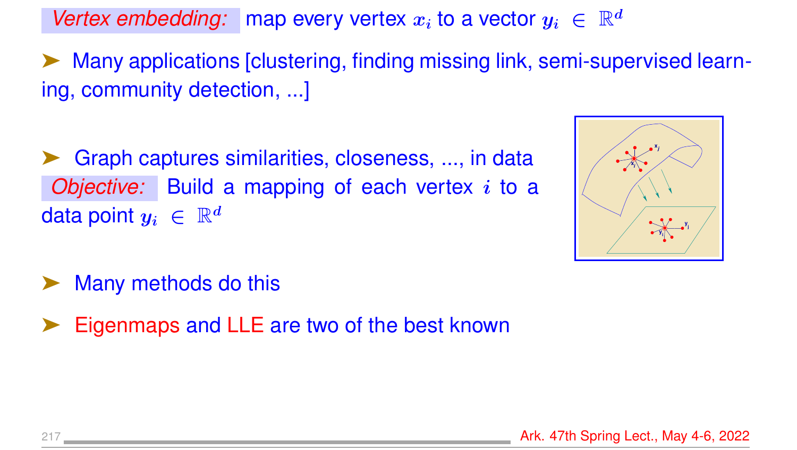Vertex embedding: map every vertex  $x_i$  to a vector  $y_i \in \mathbb{R}^d$ 

Many applications [clustering, finding missing link, semi-supervised learning, community detection, ...]

Graph captures similarities, closeness, ..., in data *Objective:* Build a mapping of each vertex i to a data point  $y_i \in \mathbb{R}^d$ 



- Many methods do this
- Eigenmaps and LLE are two of the best known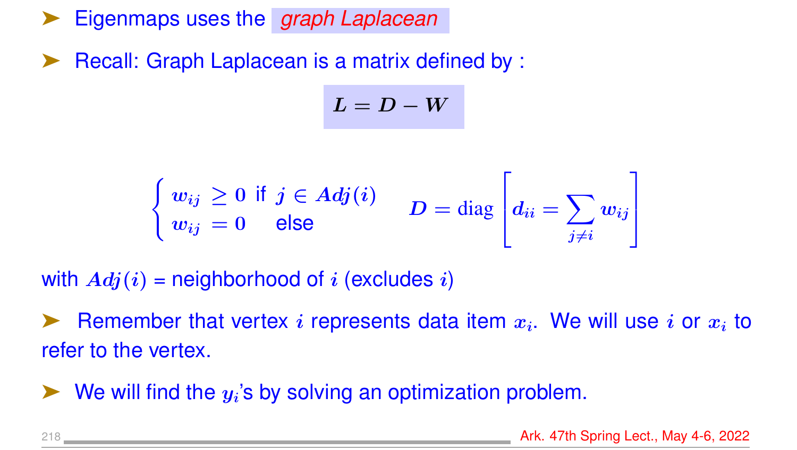➤ Eigenmaps uses the *graph Laplacean*

Recall: Graph Laplacean is a matrix defined by :

 $L = D - W$ 

$$
\begin{cases} w_{ij} \geq 0 \text{ if } j \in Adj(i) \\ w_{ij} = 0 \text{ else} \end{cases} \quad D = \text{diag} \left[ d_{ii} = \sum_{j \neq i} w_{ij} \right]
$$

with  $Adj(i)$  = neighborhood of i (excludes i)

Example that vertex i represents data item  $x_i$ . We will use i or  $x_i$  to refer to the vertex.

 $\blacktriangleright$  We will find the  $y_i$ 's by solving an optimization problem.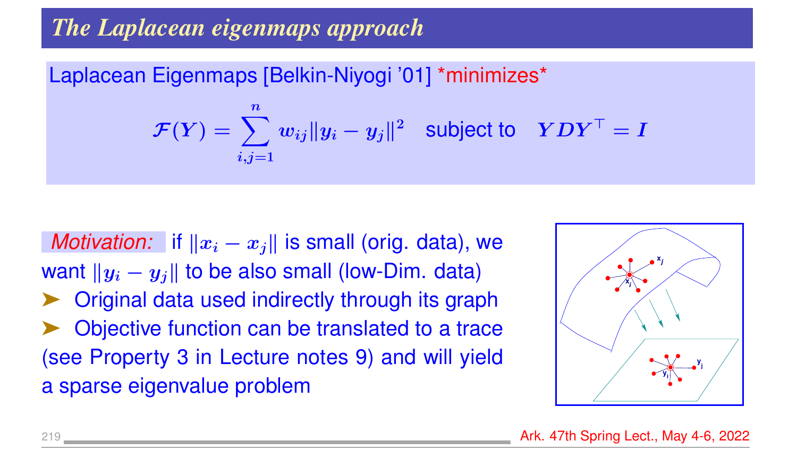# *The Laplacean eigenmaps approach*

Laplacean Eigenmaps [Belkin-Niyogi '01] \*minimizes\*

$$
\mathcal{F}(Y) = \sum_{i,j=1}^{n} w_{ij} ||y_i - y_j||^2 \text{ subject to } YDY^{\top} = I
$$

*Motivation:* if  $||x_i - x_j||$  is small (orig. data), we want  $||y_i - y_j||$  to be also small (low-Dim. data) ➤ Original data used indirectly through its graph Objective function can be translated to a trace (see Property 3 in Lecture notes 9) and will yield a sparse eigenvalue problem

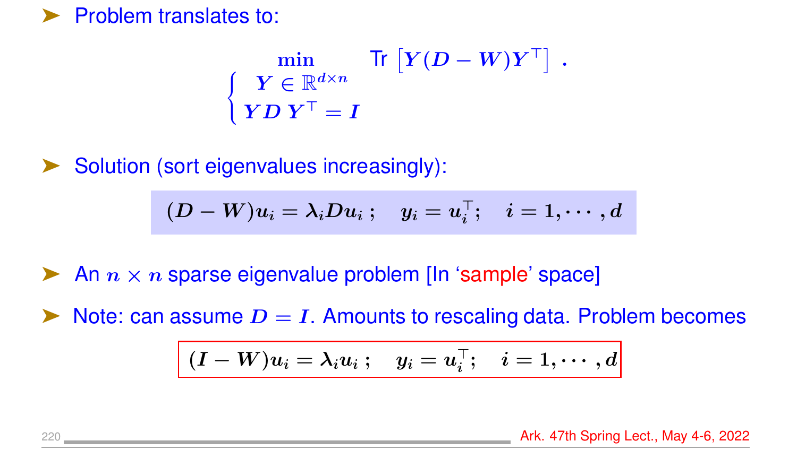#### Problem translates to:

$$
\begin{cases} \min \limits_{\begin{array}{c} \boldsymbol{Y} \in \mathbb{R}^{d \times n} \\ \boldsymbol{Y} \boldsymbol{D} \ \boldsymbol{Y}^\top = \boldsymbol{I} \end{array}} \text{Tr} \begin{bmatrix} \boldsymbol{Y} (\boldsymbol{D} - \boldsymbol{W}) \boldsymbol{Y}^\top \end{bmatrix} \ . \end{cases}
$$

Solution (sort eigenvalues increasingly):

$$
(D-W)u_i=\lambda_iDu_i\ ;\quad y_i=u_i^\top;\quad i=1,\cdots,d
$$

An  $n \times n$  sparse eigenvalue problem [In 'sample' space]

Note: can assume  $D = I$ . Amounts to rescaling data. Problem becomes

$$
\boxed{(I-W)u_i = \lambda_i u_i \ ; \quad y_i = u_i^\top; \quad i=1,\cdots,d}
$$

220 Ark. 47th Spring Lect., May 4-6, 2022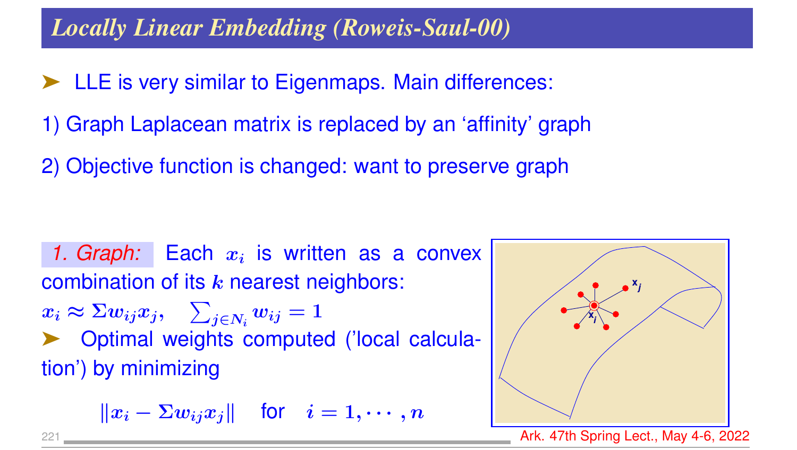### *Locally Linear Embedding (Roweis-Saul-00)*

- LLE is very similar to Eigenmaps. Main differences:
- 1) Graph Laplacean matrix is replaced by an 'affinity' graph
- 2) Objective function is changed: want to preserve graph

1.  $Graph:$  Each  $x_i$  is written as a convex combination of its  $k$  nearest neighbors:  $x_i \approx \Sigma w_{ij} x_j, \quad \sum_{j \in N_i} w_{ij} = 1$ ➤ Optimal weights computed ('local calculation') by minimizing

$$
\|x_i - \Sigma w_{ij} x_j\| \quad \text{for} \quad i = 1, \cdots, n
$$



Ark. 47th Spring Lect., May 4-6, 2022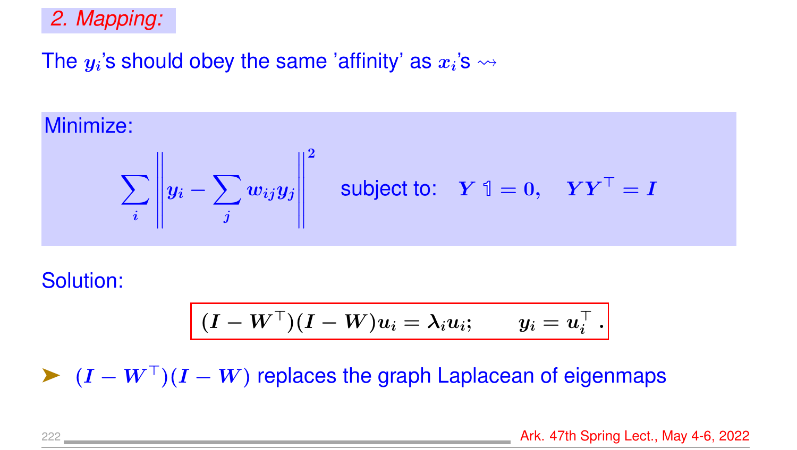#### *2. Mapping:*

## The  $y_i$ 's should obey the same 'affinity' as  $x_i$ 's  $\rightsquigarrow$

Minimize:

$$
\sum_{i} \left\| y_i - \sum_{j} w_{ij} y_j \right\|^2 \quad \text{subject to:} \quad Y \mathbb{1} = 0, \quad Y Y^\top = I
$$

Solution:

$$
\boxed{(I-W^\top)(I-W)u_i=\lambda_i u_i; \qquad y_i=u_i^\top\ .}
$$

 $\blacktriangleright$   $(I - W^{\top})(I - W)$  replaces the graph Laplacean of eigenmaps

222 Ark. 47th Spring Lect., May 4-6, 2022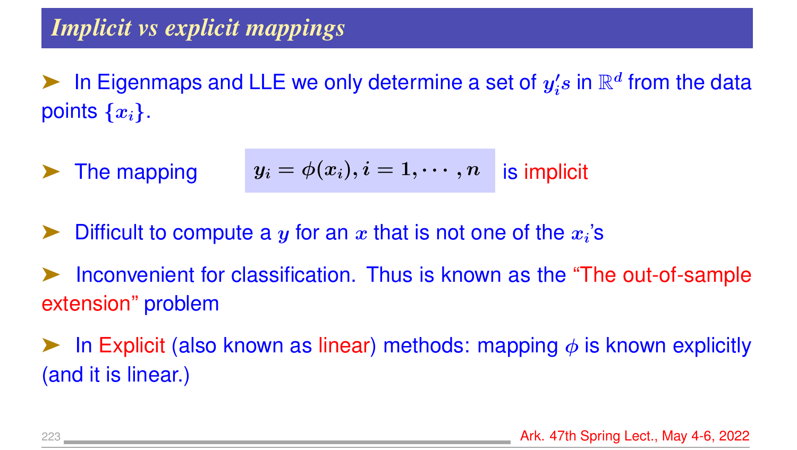ightharpoonup in Eigenmaps and LLE we only determine a set of  $y_i'$  $\emph{'}_{i}\emph{s}$  in  $\mathbb{R}^{d}$  from the data points  $\{x_i\}$ .

**Example 7** The mapping 
$$
y_i = \phi(x_i), i = 1, \dots, n
$$
 is implicit

- ightharpoonuporting Difficult to compute a y for an x that is not one of the  $x_i$ 's
- Inconvenient for classification. Thus is known as the "The out-of-sample" extension" problem
- **EXPLO** In Explicit (also known as linear) methods: mapping  $\phi$  is known explicitly (and it is linear.)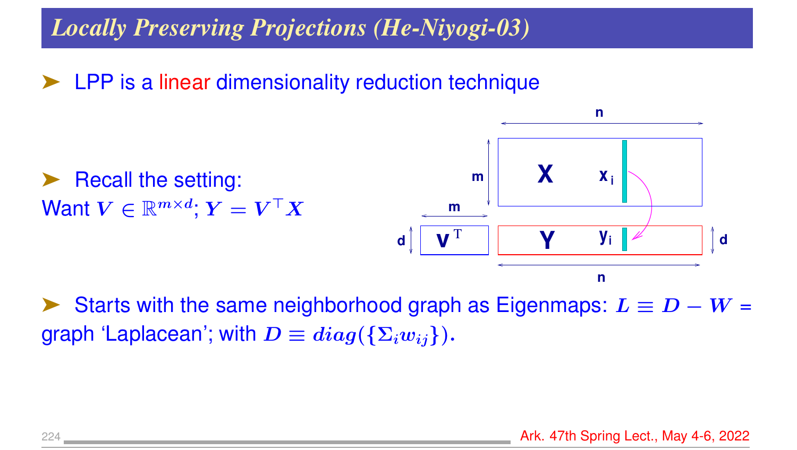### *Locally Preserving Projections (He-Niyogi-03)*

➤ LPP is a linear dimensionality reduction technique

Recall the setting: Want  $V \in \mathbb{R}^{m \times d}$ ;  $Y = V^\top X$ **v** T **d m m d n X Y x i y i**

Starts with the same neighborhood graph as Eigenmaps:  $L \equiv D - W =$ graph 'Laplacean'; with  $D \equiv diag({{\Sigma_i w_{ij}}}).$ 

**n**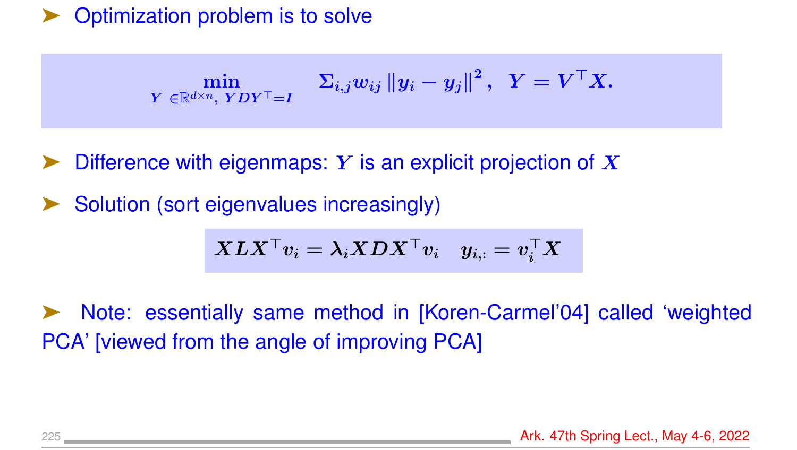#### Optimization problem is to solve

$$
\min_{\text{$Y \in \mathbb{R}^{d \times n}$, $YDY^\top = I$}} \quad \Sigma_{i,j} w_{ij} \left\|y_i - y_j\right\|^2, \;\; Y = V^\top X.
$$

Difference with eigenmaps: Y is an explicit projection of  $X$ 

Solution (sort eigenvalues increasingly)

$$
\boldsymbol{X L X^\top v_i} = \lambda_i \boldsymbol{X D X^\top v_i} \quad y_{i,:} = v_i^\top \boldsymbol{X}
$$

➤ Note: essentially same method in [Koren-Carmel'04] called 'weighted PCA' [viewed from the angle of improving PCA]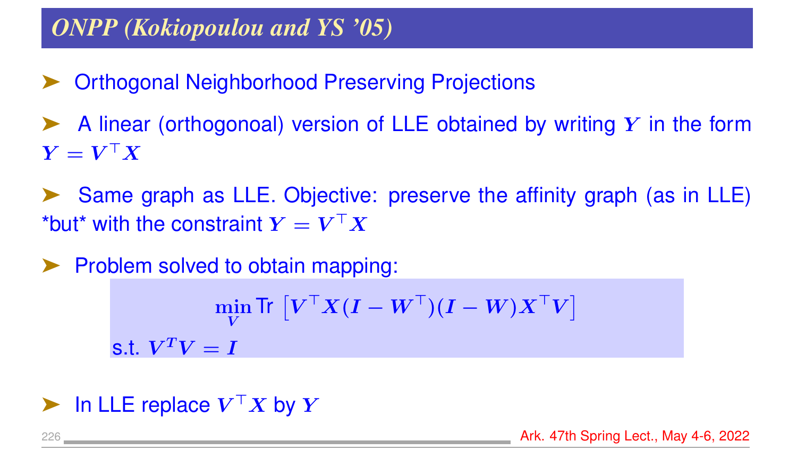### *ONPP (Kokiopoulou and YS '05)*

- ➤ Orthogonal Neighborhood Preserving Projections
- A linear (orthogonoal) version of LLE obtained by writing  $Y$  in the form  $\boldsymbol{Y} = \boldsymbol{V}^\top \boldsymbol{X}$
- Same graph as LLE. Objective: preserve the affinity graph (as in LLE) \*but\* with the constraint  $\boldsymbol{Y} = \boldsymbol{V}^\top \boldsymbol{X}$
- ➤ Problem solved to obtain mapping:  $\min$ V Tr  $\left[V^\top X (I - W^\top)(I - W) X^\top V \right]$ s.t.  $\boldsymbol{V}^T\boldsymbol{V}=\boldsymbol{I}$
- in LLE replace  $V^{\top}X$  by  $Y$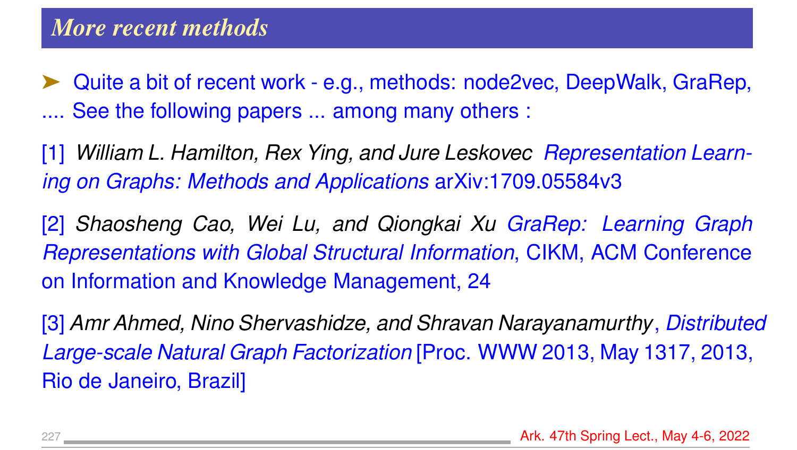Quite a bit of recent work - e.g., methods: node2vec, DeepWalk, GraRep, .... See the following papers ... among many others :

[1] *William L. Hamilton, Rex Ying, and Jure Leskovec Representation Learning on Graphs: Methods and Applications* arXiv:1709.05584v3

[2] *Shaosheng Cao, Wei Lu, and Qiongkai Xu GraRep: Learning Graph Representations with Global Structural Information*, CIKM, ACM Conference on Information and Knowledge Management, 24

[3] *Amr Ahmed, Nino Shervashidze, and Shravan Narayanamurthy*, *Distributed Large-scale Natural Graph Factorization* [Proc. WWW 2013, May 1317, 2013, Rio de Janeiro, Brazil]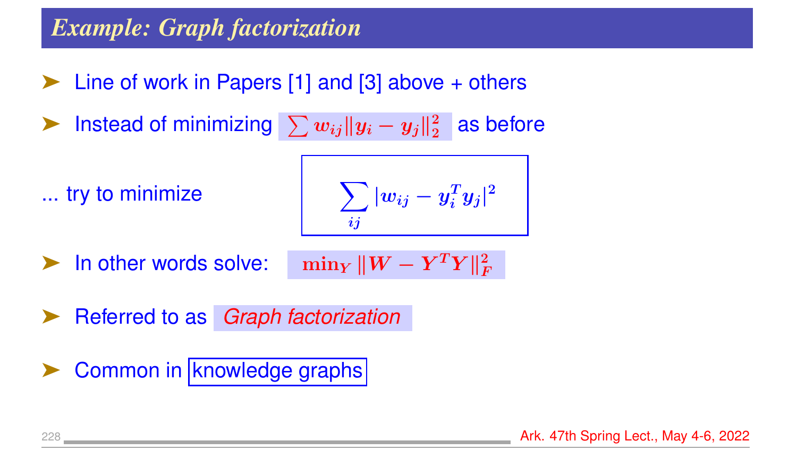### *Example: Graph factorization*

- Line of work in Papers  $[1]$  and  $[3]$  above  $+$  others
- ► Instead of minimizing  $\sum w_{ij} \|y_i y_j\|_2^2$  $_2^2$  as before

... try to minimize

$$
\sum_{ij}|w_{ij}-y_i^Ty_j|^2
$$

In other words solve:

$$
-\min_{Y}\|W-Y^TY\|_F^2
$$

➤ Referred to as *Graph factorization*

Common in knowledge graphs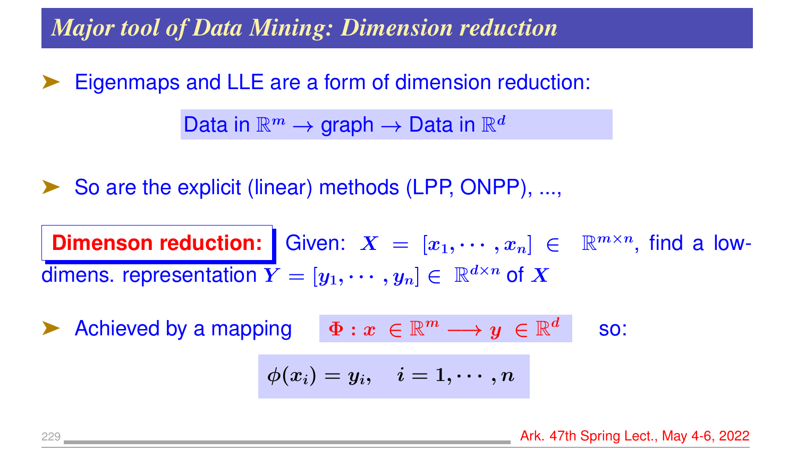*Major tool of Data Mining: Dimension reduction*

Eigenmaps and LLE are a form of dimension reduction:

Data in  $\mathbb{R}^m \to \text{graph} \to \text{Data}$  in  $\mathbb{R}^d$ 

➤ So are the explicit (linear) methods (LPP, ONPP), ...,

**Dimenson reduction:** Given:  $X = [x_1, \dots, x_n] \in \mathbb{R}^{m \times n}$ , find a lowdimens. representation  $Y = [y_1, \dots, y_n] \in \mathbb{R}^{d \times n}$  of X

$$
\blacktriangleright \text{ { A} chieved by a mapping } \quad \Phi: x \in \mathbb{R}^m \longrightarrow y \in \mathbb{R}^d \quad \text{ so: }
$$

$$
\phi(x_i)=y_i,\quad i=1,\cdots,n
$$

229 **Ark. 47th Spring Lect., May 4-6, 2022 Ark. 47th Spring Lect., May 4-6, 2022**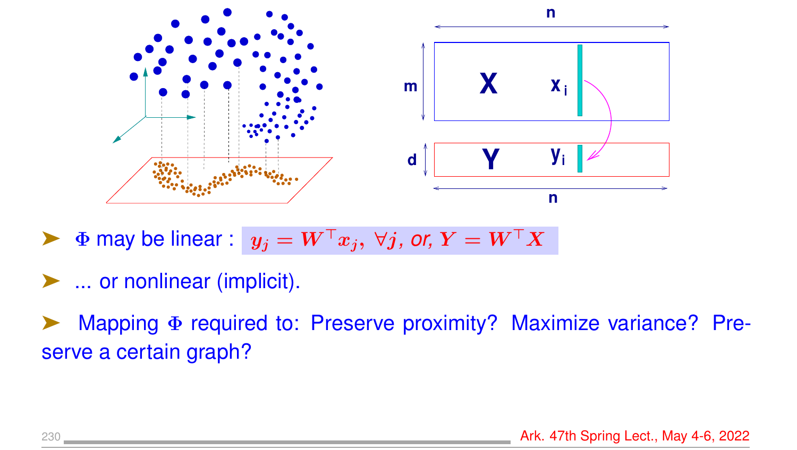

 $\blacktriangleright$   $\Phi$  may be linear :  $y_j = W^\top x_j$ ,  $\forall j$ , or,  $Y = W^\top X$ 

- ➤ ... or nonlinear (implicit).
- ➤ Mapping Φ required to: Preserve proximity? Maximize variance? Preserve a certain graph?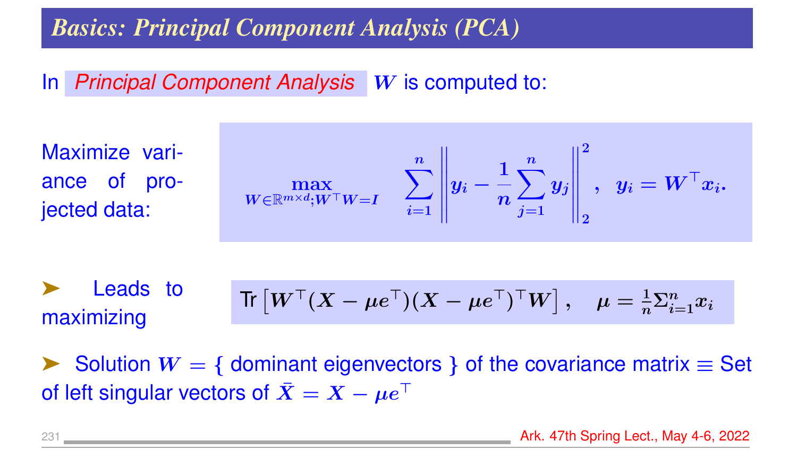### *Basics: Principal Component Analysis (PCA)*

#### In *Principal Component Analysis* W is computed to:

Maximize variance of projected data:

$$
\max_{W \in \mathbb{R}^{m \times d}; W^\top W = I} \quad \sum_{i=1}^n \left\| y_i - \frac{1}{n} \sum_{j=1}^n y_j \right\|_2^2, \;\; y_i = W^\top x_i.
$$

➤ Leads to maximizing  $\text{Tr} \left[ W^\top (X - \mu e^\top) (X - \mu e^\top)^\top W \right], \quad \mu = \frac{1}{n}$  $\frac{1}{n}\Sigma_{i=1}^n x_i$ 

► Solution  $W = \{$  dominant eigenvectors  $}$  of the covariance matrix  $\equiv$  Set of left singular vectors of  $\bar{X} = X - \mu e^{\top}$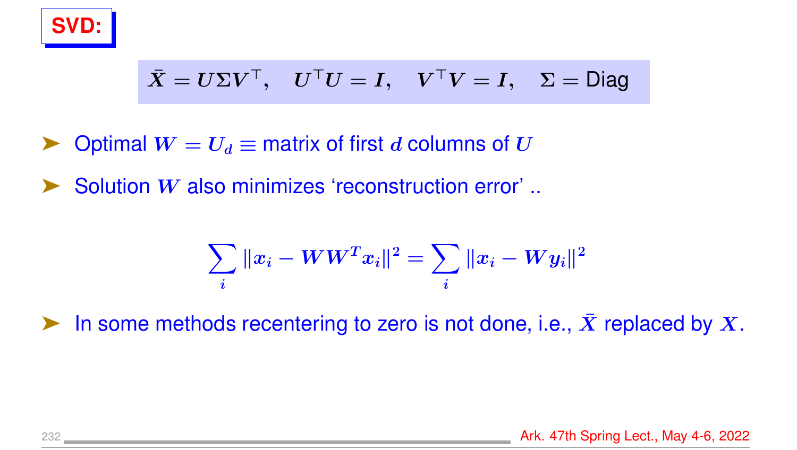

$$
\bar{X} = U\Sigma V^{\top}, U^{\top}U = I, V^{\top}V = I, \Sigma = \text{Diag}
$$

- Optimal  $W = U_d \equiv$  matrix of first d columns of U
- Solution W also minimizes 'reconstruction error' ..

$$
\sum_i \|x_i - W W^T x_i\|^2 = \sum_i \|x_i - W y_i\|^2
$$

in some methods recentering to zero is not done, i.e.,  $\bar{X}$  replaced by X.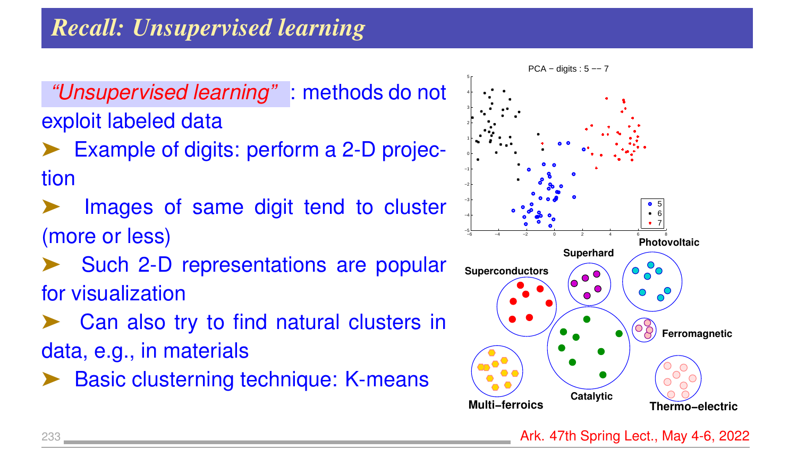# *Recall: Unsupervised learning*

*"Unsupervised learning"* : methods do not exploit labeled data

- Example of digits: perform a 2-D projection
- Images of same digit tend to cluster (more or less)
- Such 2-D representations are popular for visualization
- Can also try to find natural clusters in data, e.g., in materials
- Basic clusterning technique: K-means



233 **Ark. 47th Spring Lect., May 4-6, 2022 Ark. 47th Spring Lect., May 4-6, 2022**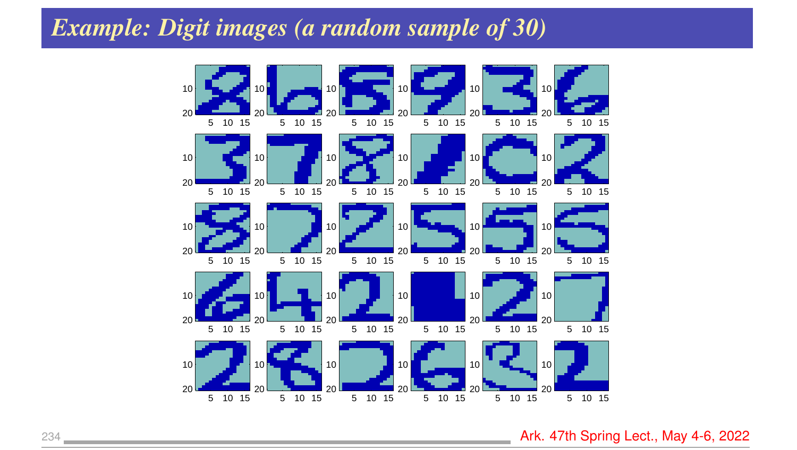#### *Example: Digit images (a random sample of 30)*



**Ark. 47th Spring Lect., May 4-6, 2022**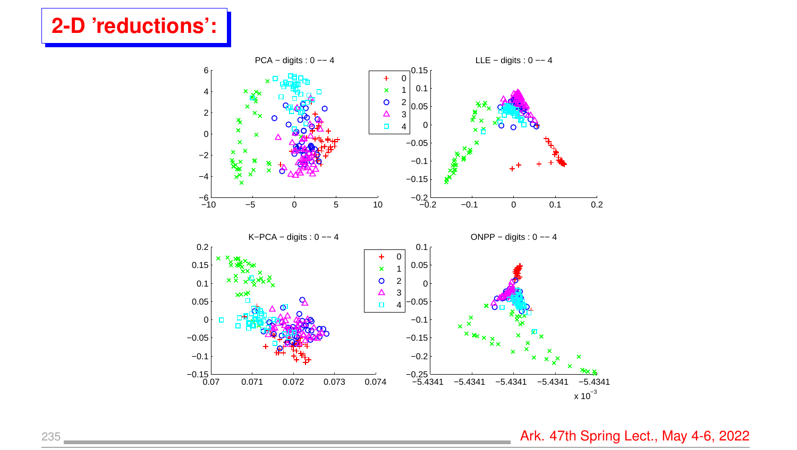### **2-D 'reductions':**



235 **Ark. 47th Spring Lect., May 4-6, 2022**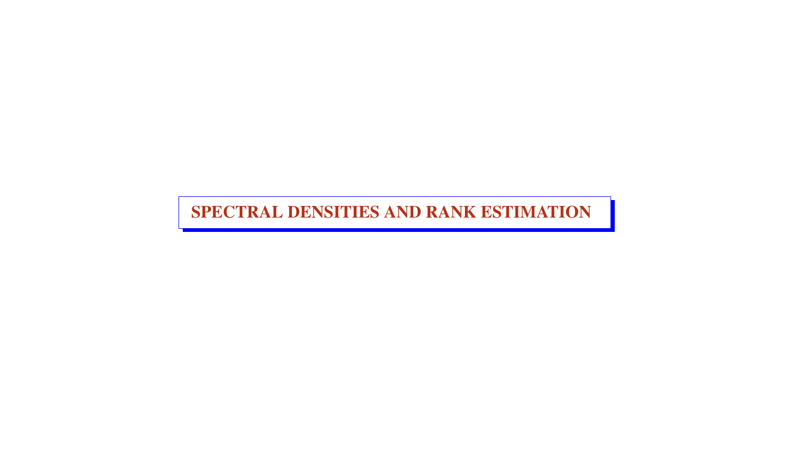SPECTRAL DENSITIES AND RANK ESTIMATION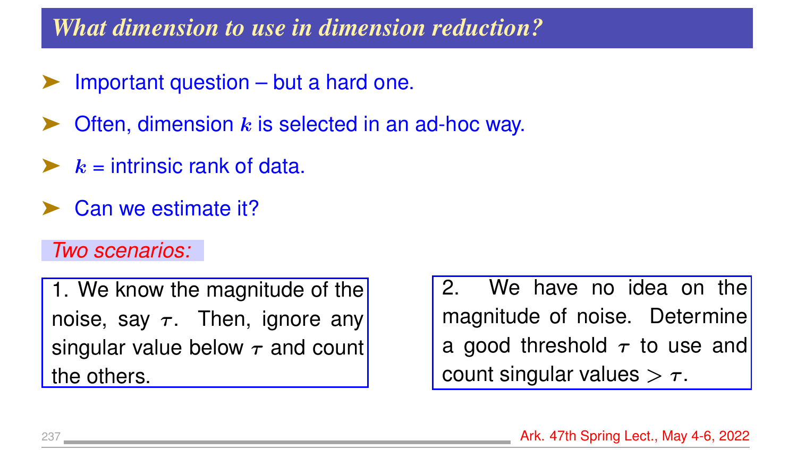### *What dimension to use in dimension reduction?*

- Important question but a hard one.
- Often, dimension  $k$  is selected in an ad-hoc way.
- $k =$  intrinsic rank of data.
- Can we estimate it?

#### *Two scenarios:*

1. We know the magnitude of the noise, say  $\tau$ . Then, ignore any singular value below  $\tau$  and count the others.

2. We have no idea on the magnitude of noise. Determine a good threshold  $\tau$  to use and count singular values  $>\tau$ .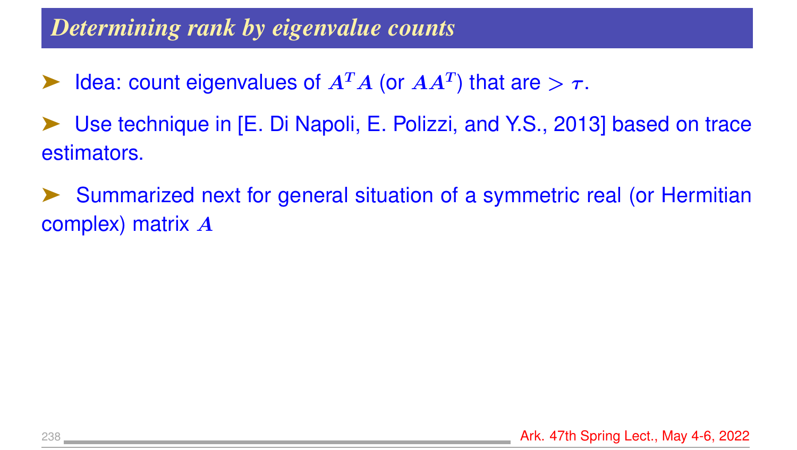### *Determining rank by eigenvalue counts*

- $\blacktriangleright$  Idea: count eigenvalues of  $A^T A$  (or  $A A^T$ ) that are  $> \tau$ .
- Use technique in [E. Di Napoli, E. Polizzi, and Y.S., 2013] based on trace estimators.
- Summarized next for general situation of a symmetric real (or Hermitian complex) matrix A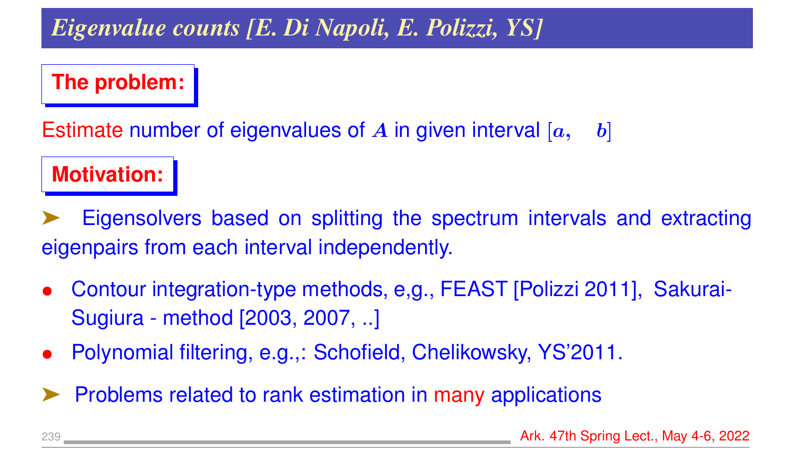## *Eigenvalue counts [E. Di Napoli, E. Polizzi, YS]*

#### **The problem:**

Estimate number of eigenvalues of A in given interval  $[a, b]$ 

#### **Motivation:**

Eigensolvers based on splitting the spectrum intervals and extracting eigenpairs from each interval independently.

- Contour integration-type methods, e,g., FEAST [Polizzi 2011], Sakurai-Sugiura - method [2003, 2007, ..]
- Polynomial filtering, e.g.,: Schofield, Chelikowsky, YS'2011.
- ➤ Problems related to rank estimation in many applications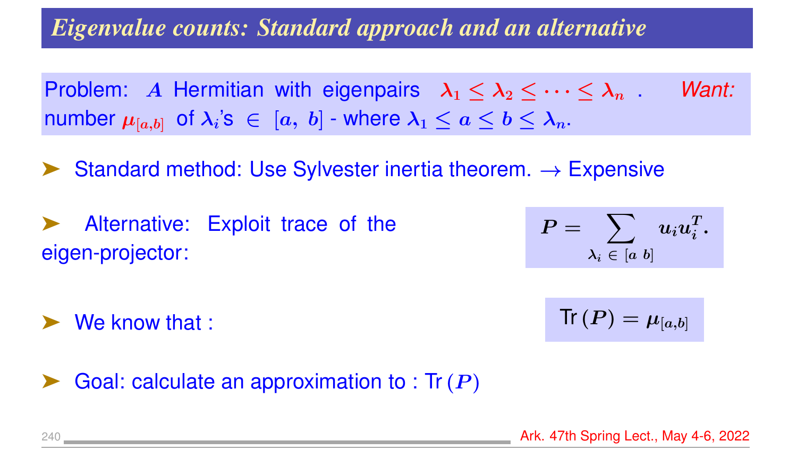### *Eigenvalue counts: Standard approach and an alternative*

Problem: A Hermitian with eigenpairs  $\lambda_1 \leq \lambda_2 \leq \cdots \leq \lambda_n$ . *Want:* number  $\mu_{[a,b]}$  of  $\lambda_i$ 's  $\;\in\; [a,\;b]$  - where  $\lambda_1 \leq a \leq b \leq \lambda_n.$ 

Standard method: Use Sylvester inertia theorem.  $\rightarrow$  Expensive

➤ Alternative: Exploit trace of the eigen-projector:

 $\blacksquare$  We know that :

$$
P = \sum_{\lambda_i \;\in\; [a\;b]} u_i u_i^T.
$$

$$
\mathsf{Tr}\left(\boldsymbol{P}\right)=\mu_{[a,b]}
$$

Goal: calculate an approximation to : Tr  $(P)$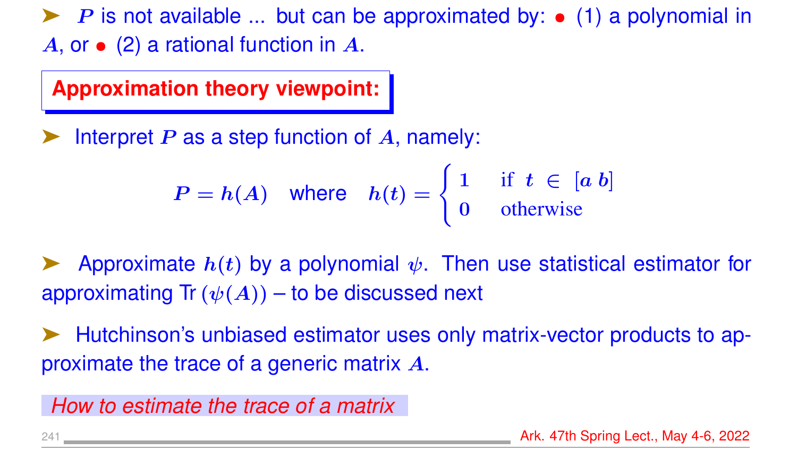$\blacktriangleright$  P is not available ... but can be approximated by:  $\bullet$  (1) a polynomial in  $A$ , or  $\bullet$  (2) a rational function in  $A$ .

**Approximation theory viewpoint:**

Interpret  $P$  as a step function of  $A$ , namely:

$$
P = h(A) \quad \text{where} \quad h(t) = \begin{cases} 1 & \text{if } t \in [a \, b] \\ 0 & \text{otherwise} \end{cases}
$$

Approximate  $h(t)$  by a polynomial  $\psi$ . Then use statistical estimator for approximating Tr  $(\psi(A))$  – to be discussed next

➤ Hutchinson's unbiased estimator uses only matrix-vector products to approximate the trace of a generic matrix A.

*How to estimate the trace of a matrix*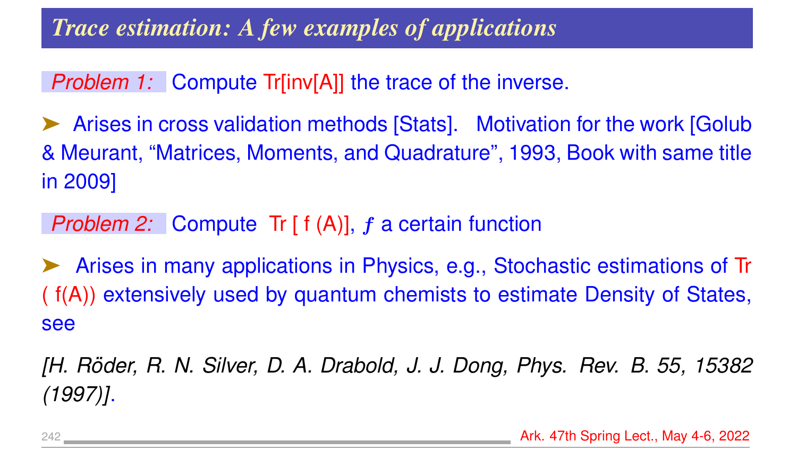### *Trace estimation: A few examples of applications*

*Problem 1:* Compute Tr[inv[A]] the trace of the inverse.

Arises in cross validation methods [Stats]. Motivation for the work [Golub] & Meurant, "Matrices, Moments, and Quadrature", 1993, Book with same title in 2009]

*Problem 2:* Compute Tr [ f (A)], f a certain function

➤ Arises in many applications in Physics, e.g., Stochastic estimations of Tr ( f(A)) extensively used by quantum chemists to estimate Density of States, see

*[H. Roder, R. N. Silver, D. A. Drabold, J. J. Dong, Phys. Rev. B. 55, 15382 ¨ (1997)]*.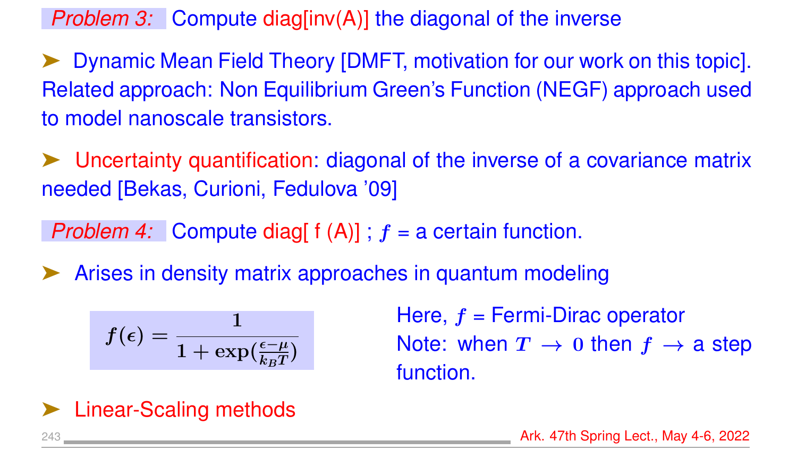*Problem 3:* Compute diag[inv(A)] the diagonal of the inverse

➤ Dynamic Mean Field Theory [DMFT, motivation for our work on this topic]. Related approach: Non Equilibrium Green's Function (NEGF) approach used to model nanoscale transistors.

➤ Uncertainty quantification: diagonal of the inverse of a covariance matrix needed [Bekas, Curioni, Fedulova '09]

*Problem 4:* Compute diag[  $f(A)$ ] ;  $f = a$  certain function.

Arises in density matrix approaches in quantum modeling

$$
f(\epsilon)=\frac{1}{1+\exp(\frac{\epsilon-\mu}{k_BT})}
$$

Here,  $f =$  Fermi-Dirac operator Note: when  $T \rightarrow 0$  then  $f \rightarrow a$  step function.

**Linear-Scaling methods**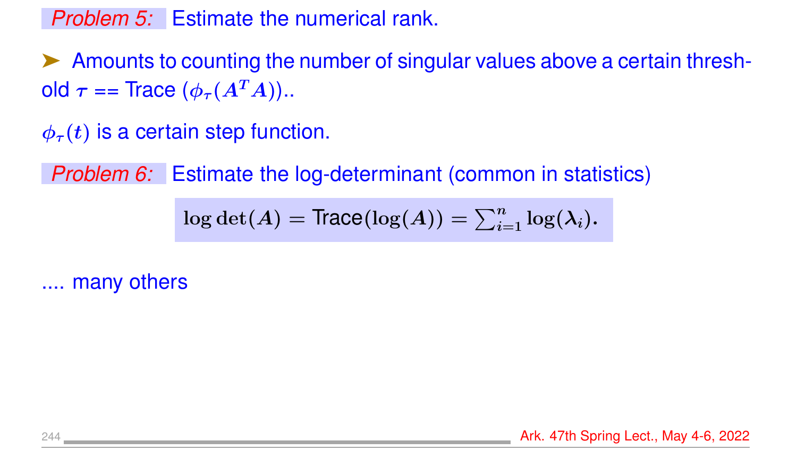#### *Problem 5:* Estimate the numerical rank.

➤ Amounts to counting the number of singular values above a certain threshold  $\tau$  == Trace  $(\phi_{\tau}(A^T A))$ ..

 $\phi_{\tau}(t)$  is a certain step function.

*Problem 6:* Estimate the log-determinant (common in statistics)

 $\log \det(A) = \text{Trace}(\log(A)) = \sum_{i=1}^n \log(\lambda_i).$ 

.... many others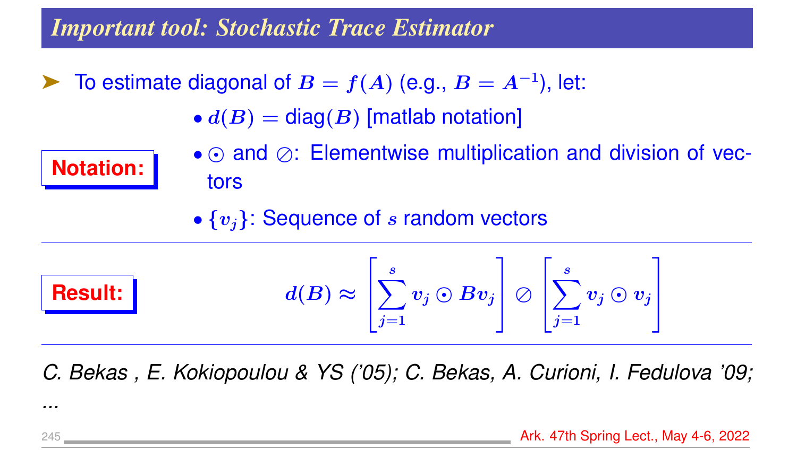#### *Important tool: Stochastic Trace Estimator*

- ► To estimate diagonal of  $B = f(A)$  (e.g.,  $B = A^{-1}$ ), let:
	- $\bullet$   $d(B)$  = diag(B) [matlab notation]



- $\cdot$   $\odot$  and  $\oslash$ : Elementwise multiplication and division of vectors
- $\{v_i\}$ : Sequence of s random vectors



$$
l(B) \approx \left[\sum_{j=1}^s v_j \odot B v_j \right] \oslash \left[\sum_{j=1}^s v_j \odot v_j \right]
$$

*C. Bekas , E. Kokiopoulou & YS ('05); C. Bekas, A. Curioni, I. Fedulova '09;*

*...*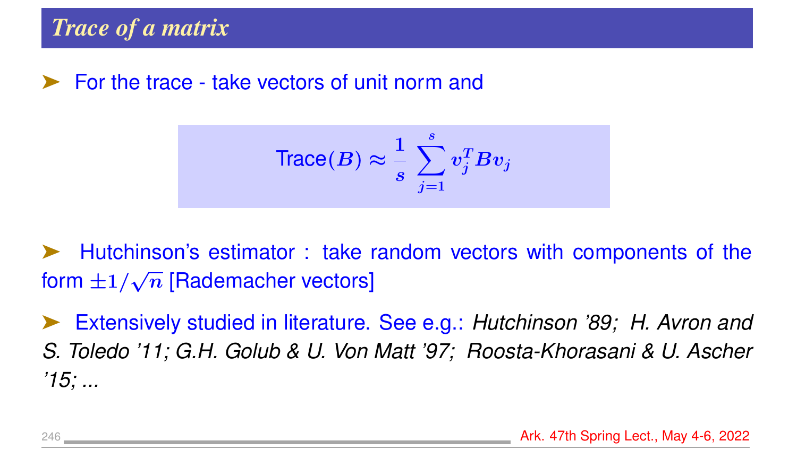➤ For the trace - take vectors of unit norm and

$$
\text{Trace}(B) \approx \frac{1}{s} \sum_{j=1}^{s} v_j^T B v_j
$$

➤ Hutchinson's estimator : take random vectors with components of the form  $\pm 1/$ √  $\overline{n}$  [Rademacher vectors]

➤ Extensively studied in literature. See e.g.: *Hutchinson '89; H. Avron and S. Toledo '11; G.H. Golub & U. Von Matt '97; Roosta-Khorasani & U. Ascher '15; ...*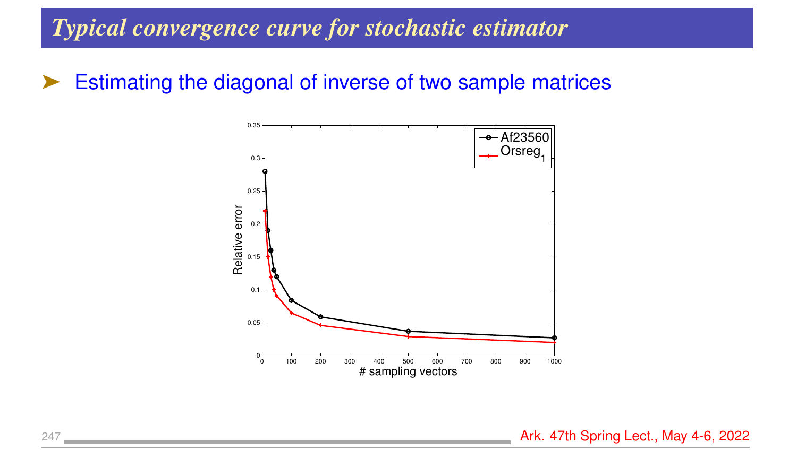#### *Typical convergence curve for stochastic estimator*

#### ➤ Estimating the diagonal of inverse of two sample matrices



247 **Ark. 47th Spring Lect., May 4-6, 2022**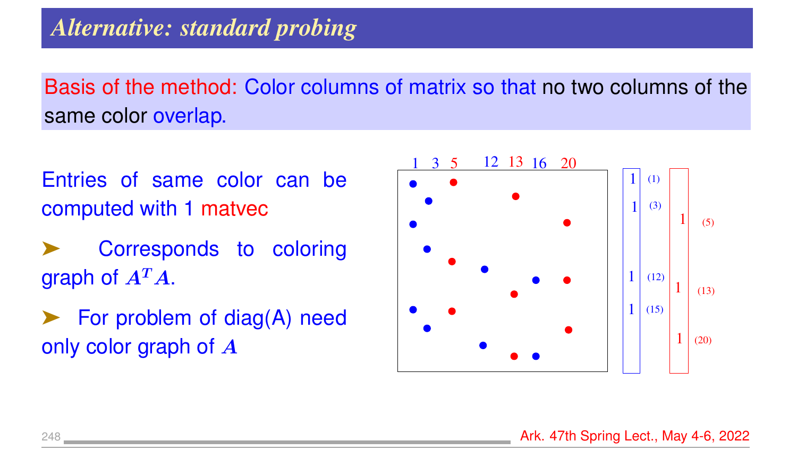Basis of the method: Color columns of matrix so that no two columns of the same color overlap.

Entries of same color can be computed with 1 matvec

Corresponds to coloring graph of  $A^T A$ .

For problem of diag(A) need only color graph of A

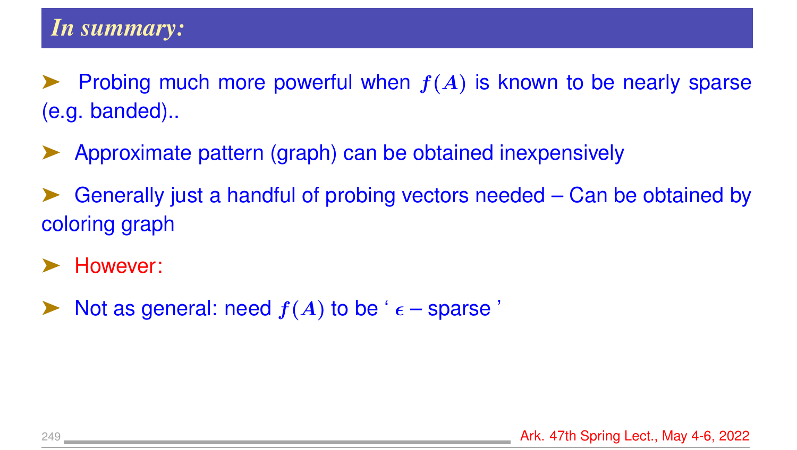- Probing much more powerful when  $f(A)$  is known to be nearly sparse (e.g. banded)..
- ➤ Approximate pattern (graph) can be obtained inexpensively
- ➤ Generally just a handful of probing vectors needed Can be obtained by coloring graph
- However:
- Not as general: need  $f(A)$  to be '  $\epsilon$  sparse '